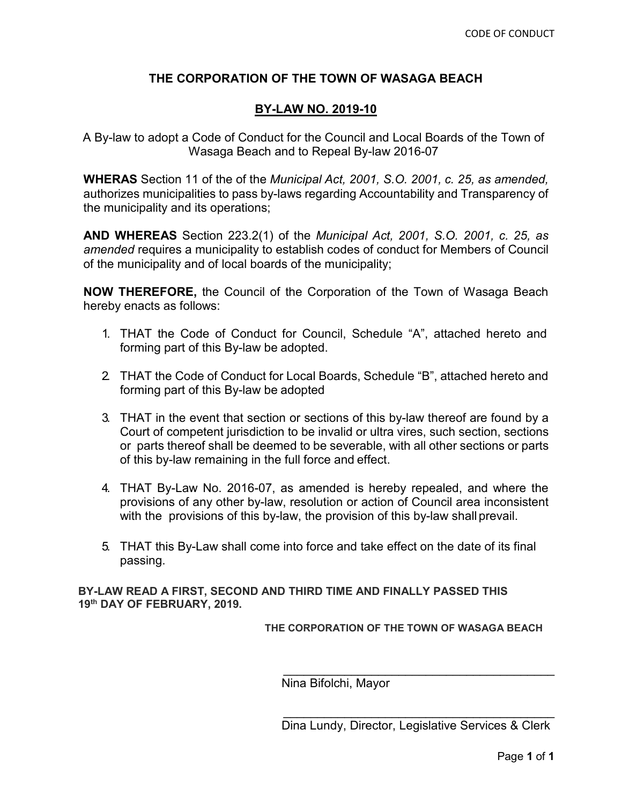# **THE CORPORATION OF THE TOWN OF WASAGA BEACH**

## **BY-LAW NO. 2019-10**

A By-law to adopt a Code of Conduct for the Council and Local Boards of the Town of Wasaga Beach and to Repeal By-law 2016-07

**WHERAS** Section 11 of the of the *Municipal Act, 2001, S.O. 2001, c. 25, as amended,*  authorizes municipalities to pass by-laws regarding Accountability and Transparency of the municipality and its operations;

**AND WHEREAS** Section 223.2(1) of the *Municipal Act, 2001, S.O. 2001, c. 25, as amended* requires a municipality to establish codes of conduct for Members of Council of the municipality and of local boards of the municipality;

**NOW THEREFORE,** the Council of the Corporation of the Town of Wasaga Beach hereby enacts as follows:

- 1. THAT the Code of Conduct for Council, Schedule "A", attached hereto and forming part of this By-law be adopted.
- 2. THAT the Code of Conduct for Local Boards, Schedule "B", attached hereto and forming part of this By-law be adopted
- 3. THAT in the event that section or sections of this by-law thereof are found by a Court of competent jurisdiction to be invalid or ultra vires, such section, sections or parts thereof shall be deemed to be severable, with all other sections or parts of this by-law remaining in the full force and effect.
- 4. THAT By-Law No. 2016-07, as amended is hereby repealed, and where the provisions of any other by-law, resolution or action of Council area inconsistent with the provisions of this by-law, the provision of this by-law shall prevail.
- 5. THAT this By-Law shall come into force and take effect on the date of its final passing.

**BY-LAW READ A FIRST, SECOND AND THIRD TIME AND FINALLY PASSED THIS 19th DAY OF FEBRUARY, 2019.**

**THE CORPORATION OF THE TOWN OF WASAGA BEACH**

Nina Bifolchi, Mayor

\_\_\_\_\_\_\_\_\_\_\_\_\_\_\_\_\_\_\_\_\_\_\_\_\_\_\_\_\_\_\_\_\_\_\_\_\_\_\_\_ Dina Lundy, Director, Legislative Services & Clerk

\_\_\_\_\_\_\_\_\_\_\_\_\_\_\_\_\_\_\_\_\_\_\_\_\_\_\_\_\_\_\_\_\_\_\_\_\_\_\_\_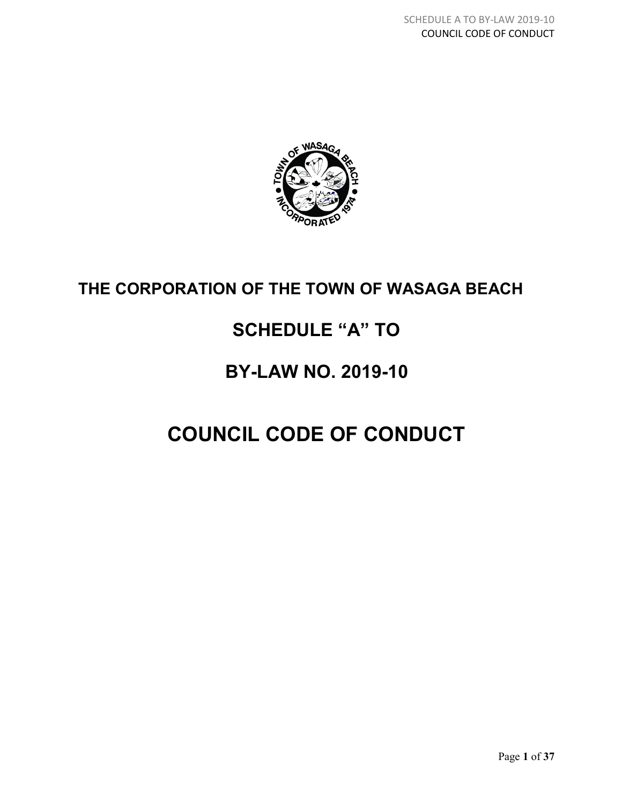

# **THE CORPORATION OF THE TOWN OF WASAGA BEACH**

# **SCHEDULE "A" TO**

# **BY-LAW NO. 2019-10**

# **COUNCIL CODE OF CONDUCT**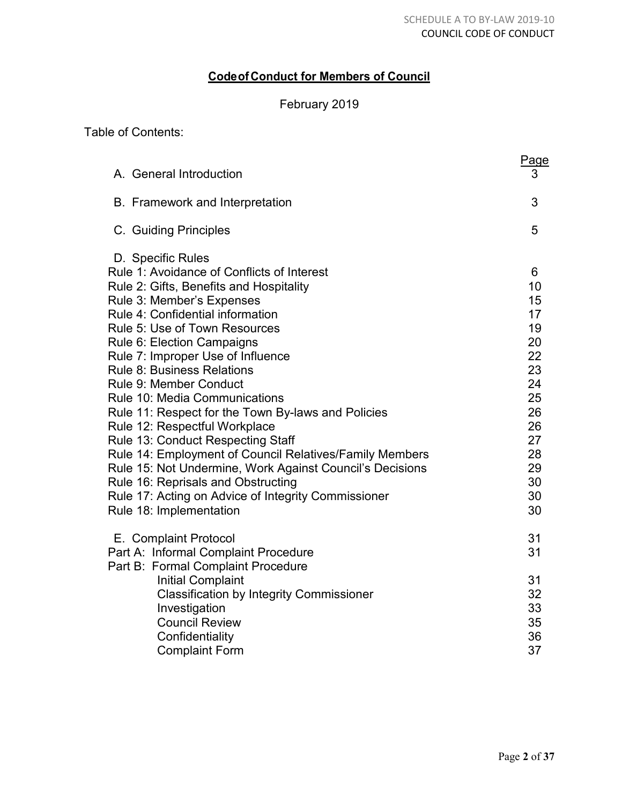# **Codeof Conduct for Members of Council**

# February 2019

Table of Contents:

| A. General Introduction                                                                                                                                                                                                                                                                                                                                                                                                                          | Page<br>3                                                |
|--------------------------------------------------------------------------------------------------------------------------------------------------------------------------------------------------------------------------------------------------------------------------------------------------------------------------------------------------------------------------------------------------------------------------------------------------|----------------------------------------------------------|
| B. Framework and Interpretation                                                                                                                                                                                                                                                                                                                                                                                                                  | 3                                                        |
| C. Guiding Principles                                                                                                                                                                                                                                                                                                                                                                                                                            | 5                                                        |
| D. Specific Rules<br>Rule 1: Avoidance of Conflicts of Interest<br>Rule 2: Gifts, Benefits and Hospitality<br>Rule 3: Member's Expenses<br>Rule 4: Confidential information<br><b>Rule 5: Use of Town Resources</b><br>Rule 6: Election Campaigns<br>Rule 7: Improper Use of Influence<br><b>Rule 8: Business Relations</b>                                                                                                                      | 6<br>10<br>15<br>17<br>19<br>20<br>22<br>23              |
| <b>Rule 9: Member Conduct</b><br><b>Rule 10: Media Communications</b><br>Rule 11: Respect for the Town By-laws and Policies<br>Rule 12: Respectful Workplace<br>Rule 13: Conduct Respecting Staff<br>Rule 14: Employment of Council Relatives/Family Members<br>Rule 15: Not Undermine, Work Against Council's Decisions<br>Rule 16: Reprisals and Obstructing<br>Rule 17: Acting on Advice of Integrity Commissioner<br>Rule 18: Implementation | 24<br>25<br>26<br>26<br>27<br>28<br>29<br>30<br>30<br>30 |
| E. Complaint Protocol<br>Part A: Informal Complaint Procedure<br>Part B: Formal Complaint Procedure<br><b>Initial Complaint</b><br><b>Classification by Integrity Commissioner</b><br>Investigation<br><b>Council Review</b><br>Confidentiality<br><b>Complaint Form</b>                                                                                                                                                                         | 31<br>31<br>31<br>32<br>33<br>35<br>36<br>37             |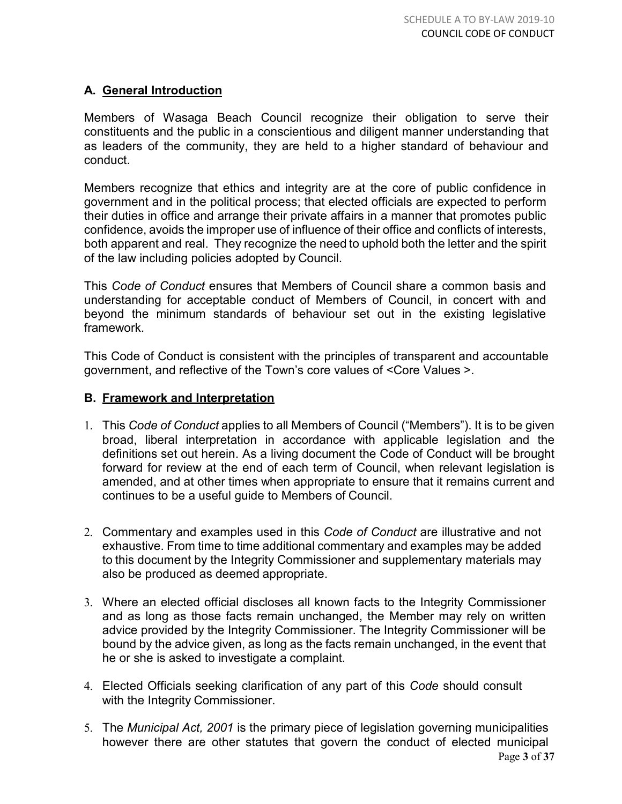# **A. General Introduction**

Members of Wasaga Beach Council recognize their obligation to serve their constituents and the public in a conscientious and diligent manner understanding that as leaders of the community, they are held to a higher standard of behaviour and conduct.

Members recognize that ethics and integrity are at the core of public confidence in government and in the political process; that elected officials are expected to perform their duties in office and arrange their private affairs in a manner that promotes public confidence, avoids the improper use of influence of their office and conflicts of interests, both apparent and real. They recognize the need to uphold both the letter and the spirit of the law including policies adopted by Council.

This *Code of Conduct* ensures that Members of Council share a common basis and understanding for acceptable conduct of Members of Council, in concert with and beyond the minimum standards of behaviour set out in the existing legislative framework.

This Code of Conduct is consistent with the principles of transparent and accountable government, and reflective of the Town's core values of <Core Values >.

# **B. Framework and Interpretation**

- 1. This *Code of Conduct* applies to all Members of Council ("Members"). It is to be given broad, liberal interpretation in accordance with applicable legislation and the definitions set out herein. As a living document the Code of Conduct will be brought forward for review at the end of each term of Council, when relevant legislation is amended, and at other times when appropriate to ensure that it remains current and continues to be a useful guide to Members of Council.
- 2. Commentary and examples used in this *Code of Conduct* are illustrative and not exhaustive. From time to time additional commentary and examples may be added to this document by the Integrity Commissioner and supplementary materials may also be produced as deemed appropriate.
- 3. Where an elected official discloses all known facts to the Integrity Commissioner and as long as those facts remain unchanged, the Member may rely on written advice provided by the Integrity Commissioner. The Integrity Commissioner will be bound by the advice given, as long as the facts remain unchanged, in the event that he or she is asked to investigate a complaint.
- 4. Elected Officials seeking clarification of any part of this *Code* should consult with the Integrity Commissioner.
- 5. The *Municipal Act, 2001* is the primary piece of legislation governing municipalities however there are other statutes that govern the conduct of elected municipal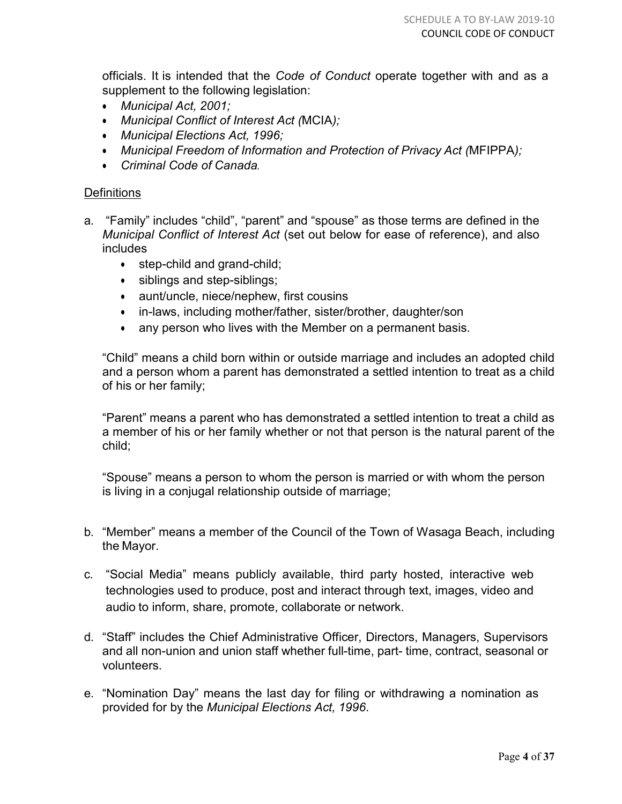officials. It is intended that the *Code of Conduct* operate together with and as a supplement to the following legislation:

- *Municipal Act, 2001;*
- *Municipal Conflict of Interest Act (*MCIA*);*
- *Municipal Elections Act, 1996;*
- *Municipal Freedom of Information and Protection of Privacy Act (*MFIPPA*);*
- *Criminal Code of Canada.*

## **Definitions**

- a. "Family" includes "child", "parent" and "spouse" as those terms are defined in the *Municipal Conflict of Interest Act* (set out below for ease of reference), and also includes
	- step-child and grand-child;
	- siblings and step-siblings;
	- aunt/uncle, niece/nephew, first cousins
	- in-laws, including mother/father, sister/brother, daughter/son
	- any person who lives with the Member on a permanent basis.

"Child" means a child born within or outside marriage and includes an adopted child and a person whom a parent has demonstrated a settled intention to treat as a child of his or her family;

"Parent" means a parent who has demonstrated a settled intention to treat a child as a member of his or her family whether or not that person is the natural parent of the child;

"Spouse" means a person to whom the person is married or with whom the person is living in a conjugal relationship outside of marriage;

- b. "Member" means a member of the Council of the Town of Wasaga Beach, including the Mayor.
- c. "Social Media" means publicly available, third party hosted, interactive web technologies used to produce, post and interact through text, images, video and audio to inform, share, promote, collaborate or network.
- d. "Staff" includes the Chief Administrative Officer, Directors, Managers, Supervisors and all non-union and union staff whether full-time, part- time, contract, seasonal or volunteers.
- e. "Nomination Day" means the last day for filing or withdrawing a nomination as provided for by the *Municipal Elections Act, 1996*.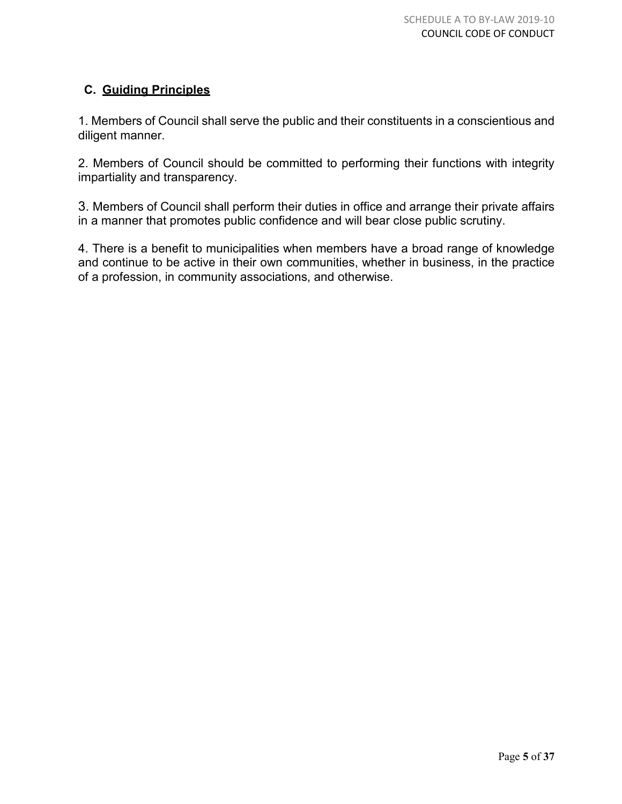# **C. Guiding Principles**

1. Members of Council shall serve the public and their constituents in a conscientious and diligent manner.

2. Members of Council should be committed to performing their functions with integrity impartiality and transparency.

3. Members of Council shall perform their duties in office and arrange their private affairs in a manner that promotes public confidence and will bear close public scrutiny.

4. There is a benefit to municipalities when members have a broad range of knowledge and continue to be active in their own communities, whether in business, in the practice of a profession, in community associations, and otherwise.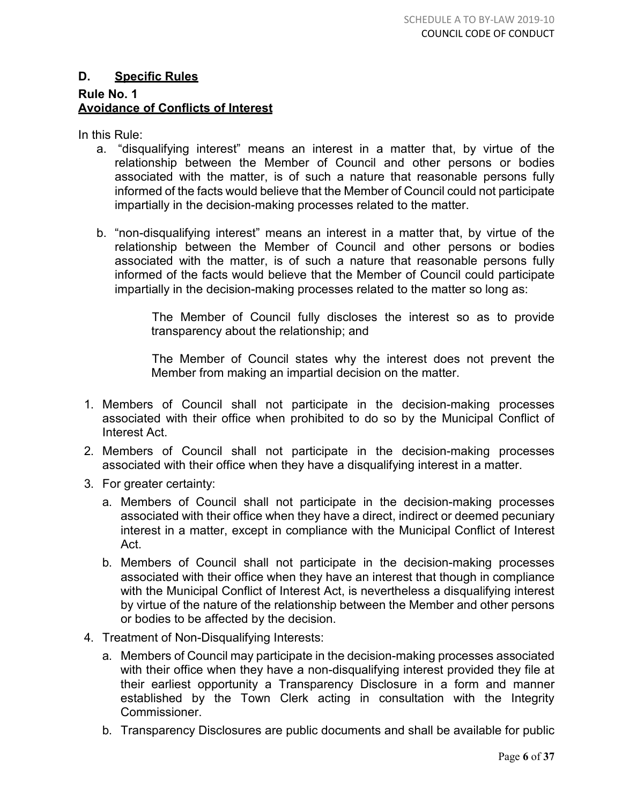# **D. Specific Rules Rule No. 1 Avoidance of Conflicts of Interest**

In this Rule:

- a. "disqualifying interest" means an interest in a matter that, by virtue of the relationship between the Member of Council and other persons or bodies associated with the matter, is of such a nature that reasonable persons fully informed of the facts would believe that the Member of Council could not participate impartially in the decision-making processes related to the matter.
- b. "non-disqualifying interest" means an interest in a matter that, by virtue of the relationship between the Member of Council and other persons or bodies associated with the matter, is of such a nature that reasonable persons fully informed of the facts would believe that the Member of Council could participate impartially in the decision-making processes related to the matter so long as:

The Member of Council fully discloses the interest so as to provide transparency about the relationship; and

The Member of Council states why the interest does not prevent the Member from making an impartial decision on the matter.

- 1. Members of Council shall not participate in the decision-making processes associated with their office when prohibited to do so by the Municipal Conflict of Interest Act.
- 2. Members of Council shall not participate in the decision-making processes associated with their office when they have a disqualifying interest in a matter.
- 3. For greater certainty:
	- a. Members of Council shall not participate in the decision-making processes associated with their office when they have a direct, indirect or deemed pecuniary interest in a matter, except in compliance with the Municipal Conflict of Interest Act.
	- b. Members of Council shall not participate in the decision-making processes associated with their office when they have an interest that though in compliance with the Municipal Conflict of Interest Act, is nevertheless a disqualifying interest by virtue of the nature of the relationship between the Member and other persons or bodies to be affected by the decision.
- 4. Treatment of Non-Disqualifying Interests:
	- a. Members of Council may participate in the decision-making processes associated with their office when they have a non-disqualifying interest provided they file at their earliest opportunity a Transparency Disclosure in a form and manner established by the Town Clerk acting in consultation with the Integrity Commissioner.
	- b. Transparency Disclosures are public documents and shall be available for public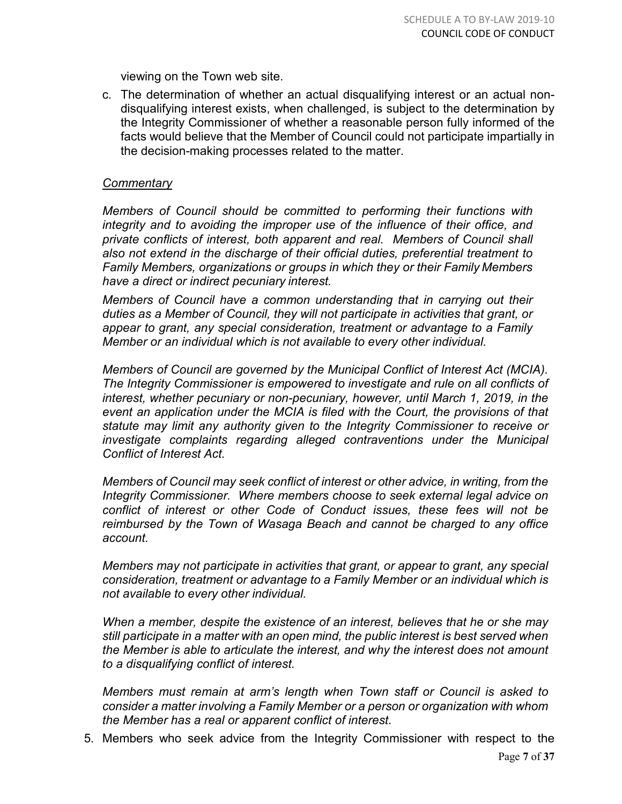viewing on the Town web site.

c. The determination of whether an actual disqualifying interest or an actual nondisqualifying interest exists, when challenged, is subject to the determination by the Integrity Commissioner of whether a reasonable person fully informed of the facts would believe that the Member of Council could not participate impartially in the decision-making processes related to the matter.

#### *Commentary*

*Members of Council should be committed to performing their functions with integrity and to avoiding the improper use of the influence of their office, and private conflicts of interest, both apparent and real. Members of Council shall also not extend in the discharge of their official duties, preferential treatment to Family Members, organizations or groups in which they or their Family Members have a direct or indirect pecuniary interest.*

*Members of Council have a common understanding that in carrying out their duties as a Member of Council, they will not participate in activities that grant, or appear to grant, any special consideration, treatment or advantage to a Family Member or an individual which is not available to every other individual.*

*Members of Council are governed by the Municipal Conflict of Interest Act (MCIA). The Integrity Commissioner is empowered to investigate and rule on all conflicts of interest, whether pecuniary or non-pecuniary, however, until March 1, 2019, in the event an application under the MCIA is filed with the Court, the provisions of that statute may limit any authority given to the Integrity Commissioner to receive or investigate complaints regarding alleged contraventions under the Municipal Conflict of Interest Act.* 

*Members of Council may seek conflict of interest or other advice, in writing, from the Integrity Commissioner. Where members choose to seek external legal advice on conflict of interest or other Code of Conduct issues, these fees will not be reimbursed by the Town of Wasaga Beach and cannot be charged to any office account.*

*Members may not participate in activities that grant, or appear to grant, any special consideration, treatment or advantage to a Family Member or an individual which is not available to every other individual.*

*When a member, despite the existence of an interest, believes that he or she may still participate in a matter with an open mind, the public interest is best served when the Member is able to articulate the interest, and why the interest does not amount to a disqualifying conflict of interest.*

*Members must remain at arm's length when Town staff or Council is asked to consider a matter involving a Family Member or a person or organization with whom the Member has a real or apparent conflict of interest.* 

5. Members who seek advice from the Integrity Commissioner with respect to the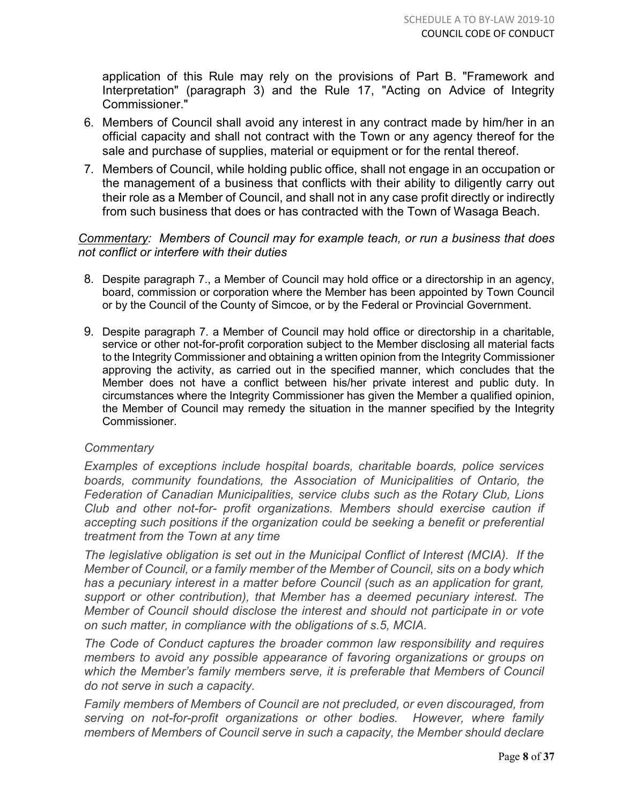application of this Rule may rely on the provisions of Part B. "Framework and Interpretation" (paragraph 3) and the Rule 17, "Acting on Advice of Integrity Commissioner."

- 6. Members of Council shall avoid any interest in any contract made by him/her in an official capacity and shall not contract with the Town or any agency thereof for the sale and purchase of supplies, material or equipment or for the rental thereof.
- 7. Members of Council, while holding public office, shall not engage in an occupation or the management of a business that conflicts with their ability to diligently carry out their role as a Member of Council, and shall not in any case profit directly or indirectly from such business that does or has contracted with the Town of Wasaga Beach.

# *Commentary: Members of Council may for example teach, or run a business that does not conflict or interfere with their duties*

- 8. Despite paragraph 7., a Member of Council may hold office or a directorship in an agency, board, commission or corporation where the Member has been appointed by Town Council or by the Council of the County of Simcoe, or by the Federal or Provincial Government.
- 9. Despite paragraph 7. a Member of Council may hold office or directorship in a charitable, service or other not-for-profit corporation subject to the Member disclosing all material facts to the Integrity Commissioner and obtaining a written opinion from the Integrity Commissioner approving the activity, as carried out in the specified manner, which concludes that the Member does not have a conflict between his/her private interest and public duty. In circumstances where the Integrity Commissioner has given the Member a qualified opinion, the Member of Council may remedy the situation in the manner specified by the Integrity Commissioner.

# *Commentary*

*Examples of exceptions include hospital boards, charitable boards, police services boards, community foundations, the Association of Municipalities of Ontario, the Federation of Canadian Municipalities, service clubs such as the Rotary Club, Lions Club and other not-for- profit organizations. Members should exercise caution if accepting such positions if the organization could be seeking a benefit or preferential treatment from the Town at any time*

*The legislative obligation is set out in the Municipal Conflict of Interest (MCIA). If the Member of Council, or a family member of the Member of Council, sits on a body which has a pecuniary interest in a matter before Council (such as an application for grant, support or other contribution), that Member has a deemed pecuniary interest. The Member of Council should disclose the interest and should not participate in or vote on such matter, in compliance with the obligations of s.5, MCIA.*

*The Code of Conduct captures the broader common law responsibility and requires members to avoid any possible appearance of favoring organizations or groups on which the Member's family members serve, it is preferable that Members of Council do not serve in such a capacity.* 

*Family members of Members of Council are not precluded, or even discouraged, from serving on not-for-profit organizations or other bodies. However, where family members of Members of Council serve in such a capacity, the Member should declare*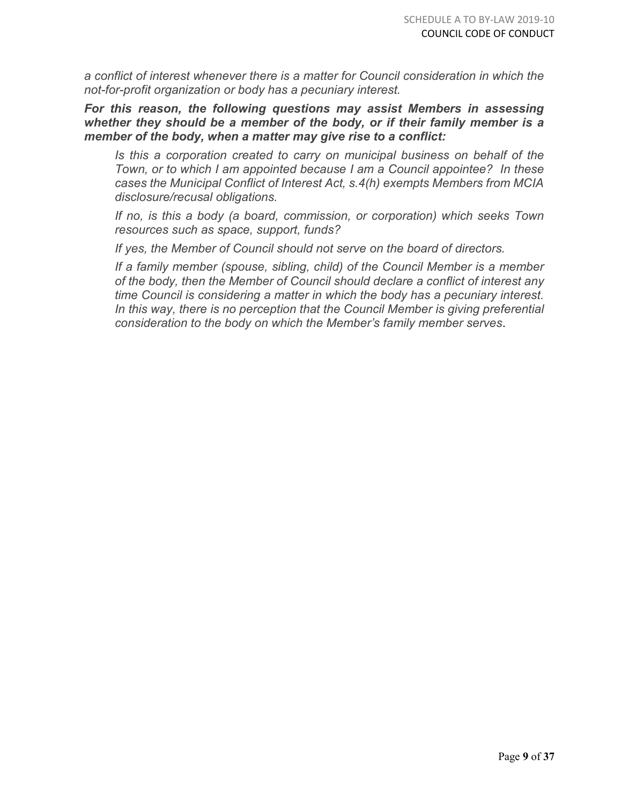*a conflict of interest whenever there is a matter for Council consideration in which the not-for-profit organization or body has a pecuniary interest.*

*For this reason, the following questions may assist Members in assessing whether they should be a member of the body, or if their family member is a member of the body, when a matter may give rise to a conflict:*

*Is this a corporation created to carry on municipal business on behalf of the Town, or to which I am appointed because I am a Council appointee? In these cases the Municipal Conflict of Interest Act, s.4(h) exempts Members from MCIA disclosure/recusal obligations.* 

*If no, is this a body (a board, commission, or corporation) which seeks Town resources such as space, support, funds?* 

*If yes, the Member of Council should not serve on the board of directors.* 

*If a family member (spouse, sibling, child) of the Council Member is a member of the body, then the Member of Council should declare a conflict of interest any time Council is considering a matter in which the body has a pecuniary interest.*  In this way, there is no perception that the Council Member is giving preferential *consideration to the body on which the Member's family member serves*.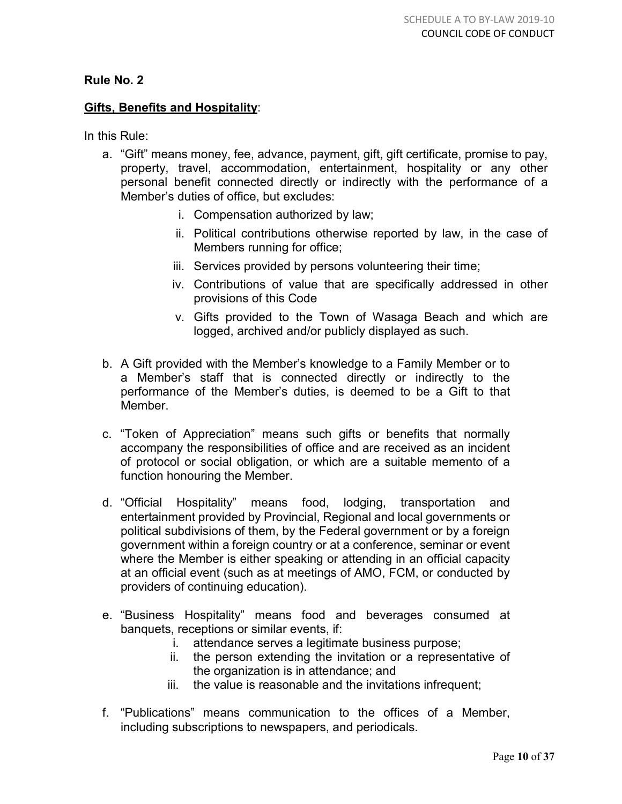# **Gifts, Benefits and Hospitality**:

In this Rule:

- a. "Gift" means money, fee, advance, payment, gift, gift certificate, promise to pay, property, travel, accommodation, entertainment, hospitality or any other personal benefit connected directly or indirectly with the performance of a Member's duties of office, but excludes:
	- i. Compensation authorized by law;
	- ii. Political contributions otherwise reported by law, in the case of Members running for office;
	- iii. Services provided by persons volunteering their time;
	- iv. Contributions of value that are specifically addressed in other provisions of this Code
	- v. Gifts provided to the Town of Wasaga Beach and which are logged, archived and/or publicly displayed as such.
- b. A Gift provided with the Member's knowledge to a Family Member or to a Member's staff that is connected directly or indirectly to the performance of the Member's duties, is deemed to be a Gift to that Member.
- c. "Token of Appreciation" means such gifts or benefits that normally accompany the responsibilities of office and are received as an incident of protocol or social obligation, or which are a suitable memento of a function honouring the Member.
- d. "Official Hospitality" means food, lodging, transportation and entertainment provided by Provincial, Regional and local governments or political subdivisions of them, by the Federal government or by a foreign government within a foreign country or at a conference, seminar or event where the Member is either speaking or attending in an official capacity at an official event (such as at meetings of AMO, FCM, or conducted by providers of continuing education).
- e. "Business Hospitality" means food and beverages consumed at banquets, receptions or similar events, if:
	- i. attendance serves a legitimate business purpose;
	- ii. the person extending the invitation or a representative of the organization is in attendance; and
	- iii. the value is reasonable and the invitations infrequent;
- f. "Publications" means communication to the offices of a Member, including subscriptions to newspapers, and periodicals.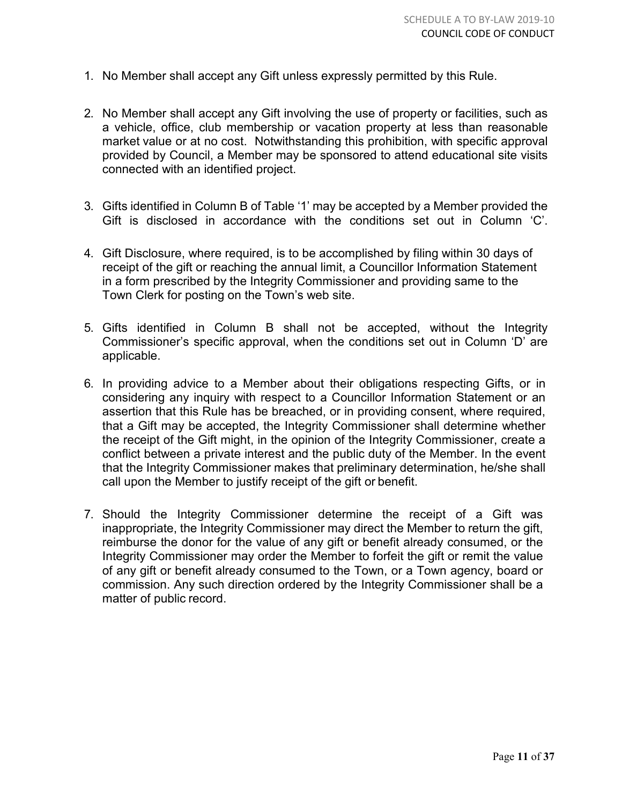- 1. No Member shall accept any Gift unless expressly permitted by this Rule.
- 2. No Member shall accept any Gift involving the use of property or facilities, such as a vehicle, office, club membership or vacation property at less than reasonable market value or at no cost. Notwithstanding this prohibition, with specific approval provided by Council, a Member may be sponsored to attend educational site visits connected with an identified project.
- 3. Gifts identified in Column B of Table '1' may be accepted by a Member provided the Gift is disclosed in accordance with the conditions set out in Column 'C'.
- 4. Gift Disclosure, where required, is to be accomplished by filing within 30 days of receipt of the gift or reaching the annual limit, a Councillor Information Statement in a form prescribed by the Integrity Commissioner and providing same to the Town Clerk for posting on the Town's web site.
- 5. Gifts identified in Column B shall not be accepted, without the Integrity Commissioner's specific approval, when the conditions set out in Column 'D' are applicable.
- 6. In providing advice to a Member about their obligations respecting Gifts, or in considering any inquiry with respect to a Councillor Information Statement or an assertion that this Rule has be breached, or in providing consent, where required, that a Gift may be accepted, the Integrity Commissioner shall determine whether the receipt of the Gift might, in the opinion of the Integrity Commissioner, create a conflict between a private interest and the public duty of the Member. In the event that the Integrity Commissioner makes that preliminary determination, he/she shall call upon the Member to justify receipt of the gift or benefit.
- 7. Should the Integrity Commissioner determine the receipt of a Gift was inappropriate, the Integrity Commissioner may direct the Member to return the gift, reimburse the donor for the value of any gift or benefit already consumed, or the Integrity Commissioner may order the Member to forfeit the gift or remit the value of any gift or benefit already consumed to the Town, or a Town agency, board or commission. Any such direction ordered by the Integrity Commissioner shall be a matter of public record.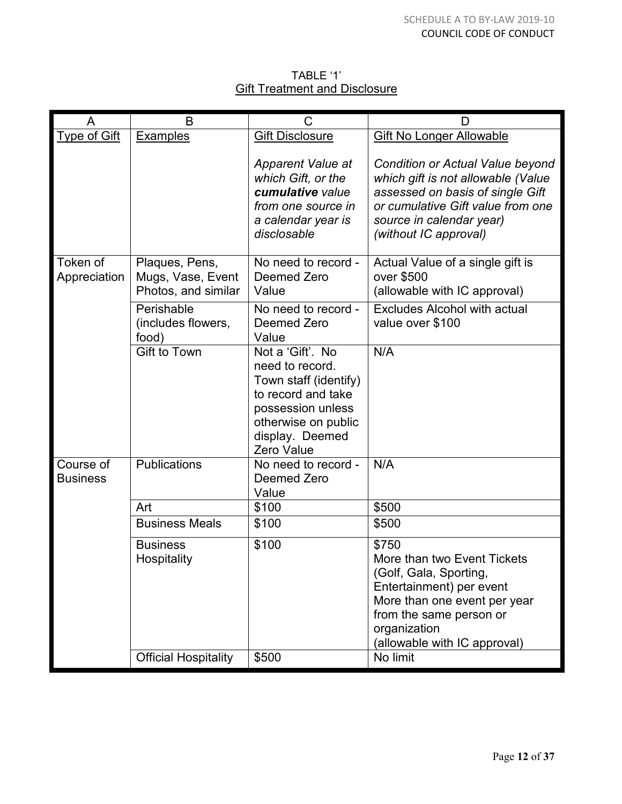# TABLE '1' **Gift Treatment and Disclosure**

|                              | B                                                          | С                                                                                                                                                               | I)                                                                                                                                                                                                    |
|------------------------------|------------------------------------------------------------|-----------------------------------------------------------------------------------------------------------------------------------------------------------------|-------------------------------------------------------------------------------------------------------------------------------------------------------------------------------------------------------|
| <b>Type of Gift</b>          | <b>Examples</b>                                            | <b>Gift Disclosure</b>                                                                                                                                          | <b>Gift No Longer Allowable</b>                                                                                                                                                                       |
|                              |                                                            | <b>Apparent Value at</b><br>which Gift, or the<br>cumulative value<br>from one source in<br>a calendar year is<br>disclosable                                   | Condition or Actual Value beyond<br>which gift is not allowable (Value<br>assessed on basis of single Gift<br>or cumulative Gift value from one<br>source in calendar year)<br>(without IC approval)  |
| Token of<br>Appreciation     | Plaques, Pens,<br>Mugs, Vase, Event<br>Photos, and similar | No need to record -<br>Deemed Zero<br>Value                                                                                                                     | Actual Value of a single gift is<br>over \$500<br>(allowable with IC approval)                                                                                                                        |
|                              | Perishable<br>(includes flowers,<br>food)                  | No need to record -<br>Deemed Zero<br>Value                                                                                                                     | <b>Excludes Alcohol with actual</b><br>value over \$100                                                                                                                                               |
|                              | <b>Gift to Town</b>                                        | Not a 'Gift'. No<br>need to record.<br>Town staff (identify)<br>to record and take<br>possession unless<br>otherwise on public<br>display. Deemed<br>Zero Value | N/A                                                                                                                                                                                                   |
| Course of<br><b>Business</b> | <b>Publications</b>                                        | No need to record -<br>Deemed Zero<br>Value                                                                                                                     | N/A                                                                                                                                                                                                   |
|                              | Art                                                        | \$100                                                                                                                                                           | \$500                                                                                                                                                                                                 |
|                              | <b>Business Meals</b>                                      | \$100                                                                                                                                                           | \$500                                                                                                                                                                                                 |
|                              | <b>Business</b><br>Hospitality                             | \$100                                                                                                                                                           | \$750<br>More than two Event Tickets<br>(Golf, Gala, Sporting,<br>Entertainment) per event<br>More than one event per year<br>from the same person or<br>organization<br>(allowable with IC approval) |
|                              | <b>Official Hospitality</b>                                | \$500                                                                                                                                                           | No limit                                                                                                                                                                                              |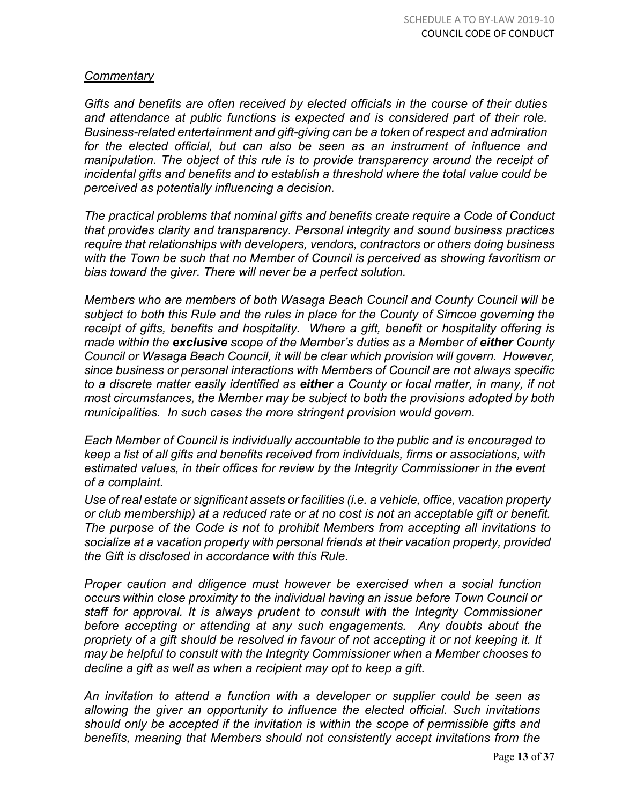# *Commentary*

*Gifts and benefits are often received by elected officials in the course of their duties and attendance at public functions is expected and is considered part of their role. Business-related entertainment and gift-giving can be a token of respect and admiration for the elected official, but can also be seen as an instrument of influence and manipulation. The object of this rule is to provide transparency around the receipt of incidental gifts and benefits and to establish a threshold where the total value could be perceived as potentially influencing a decision.*

*The practical problems that nominal gifts and benefits create require a Code of Conduct that provides clarity and transparency. Personal integrity and sound business practices require that relationships with developers, vendors, contractors or others doing business with the Town be such that no Member of Council is perceived as showing favoritism or bias toward the giver. There will never be a perfect solution.*

*Members who are members of both Wasaga Beach Council and County Council will be subject to both this Rule and the rules in place for the County of Simcoe governing the receipt of gifts, benefits and hospitality. Where a gift, benefit or hospitality offering is made within the exclusive scope of the Member's duties as a Member of either County Council or Wasaga Beach Council, it will be clear which provision will govern. However, since business or personal interactions with Members of Council are not always specific to a discrete matter easily identified as either a County or local matter, in many, if not most circumstances, the Member may be subject to both the provisions adopted by both municipalities. In such cases the more stringent provision would govern.*

*Each Member of Council is individually accountable to the public and is encouraged to keep a list of all gifts and benefits received from individuals, firms or associations, with estimated values, in their offices for review by the Integrity Commissioner in the event of a complaint.*

*Use of real estate or significant assets or facilities (i.e. a vehicle, office, vacation property or club membership) at a reduced rate or at no cost is not an acceptable gift or benefit. The purpose of the Code is not to prohibit Members from accepting all invitations to socialize at a vacation property with personal friends at their vacation property, provided the Gift is disclosed in accordance with this Rule.*

*Proper caution and diligence must however be exercised when a social function occurs within close proximity to the individual having an issue before Town Council or staff for approval. It is always prudent to consult with the Integrity Commissioner before accepting or attending at any such engagements. Any doubts about the propriety of a gift should be resolved in favour of not accepting it or not keeping it. It may be helpful to consult with the Integrity Commissioner when a Member chooses to decline a gift as well as when a recipient may opt to keep a gift.*

*An invitation to attend a function with a developer or supplier could be seen as allowing the giver an opportunity to influence the elected official. Such invitations should only be accepted if the invitation is within the scope of permissible gifts and benefits, meaning that Members should not consistently accept invitations from the*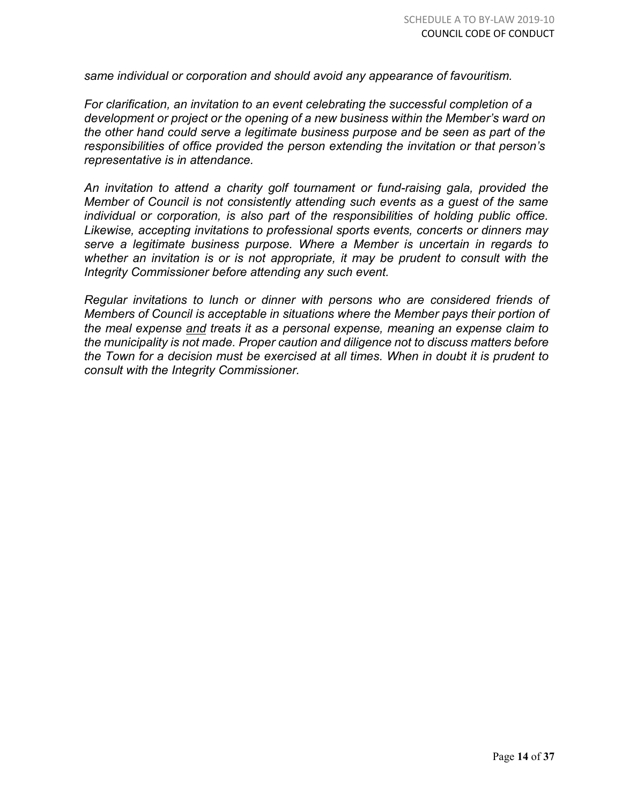*same individual or corporation and should avoid any appearance of favouritism.*

*For clarification, an invitation to an event celebrating the successful completion of a development or project or the opening of a new business within the Member's ward on the other hand could serve a legitimate business purpose and be seen as part of the responsibilities of office provided the person extending the invitation or that person's representative is in attendance.*

*An invitation to attend a charity golf tournament or fund-raising gala, provided the Member of Council is not consistently attending such events as a guest of the same individual or corporation, is also part of the responsibilities of holding public office. Likewise, accepting invitations to professional sports events, concerts or dinners may serve a legitimate business purpose. Where a Member is uncertain in regards to whether an invitation is or is not appropriate, it may be prudent to consult with the Integrity Commissioner before attending any such event.*

*Regular invitations to lunch or dinner with persons who are considered friends of Members of Council is acceptable in situations where the Member pays their portion of the meal expense and treats it as a personal expense, meaning an expense claim to the municipality is not made. Proper caution and diligence not to discuss matters before the Town for a decision must be exercised at all times. When in doubt it is prudent to consult with the Integrity Commissioner.*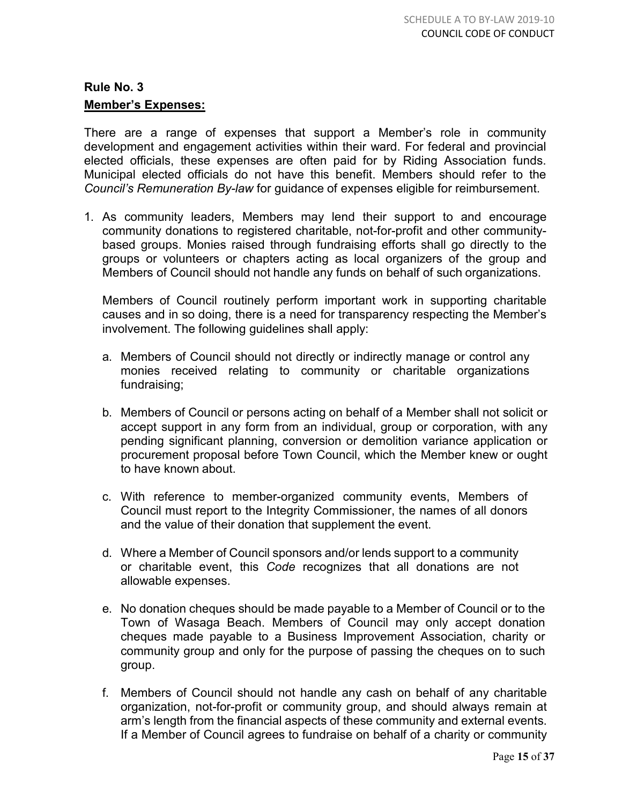# **Member's Expenses:**

There are a range of expenses that support a Member's role in community development and engagement activities within their ward. For federal and provincial elected officials, these expenses are often paid for by Riding Association funds. Municipal elected officials do not have this benefit. Members should refer to the *Council's Remuneration By-law* for guidance of expenses eligible for reimbursement.

1. As community leaders, Members may lend their support to and encourage community donations to registered charitable, not-for-profit and other communitybased groups. Monies raised through fundraising efforts shall go directly to the groups or volunteers or chapters acting as local organizers of the group and Members of Council should not handle any funds on behalf of such organizations.

Members of Council routinely perform important work in supporting charitable causes and in so doing, there is a need for transparency respecting the Member's involvement. The following guidelines shall apply:

- a. Members of Council should not directly or indirectly manage or control any monies received relating to community or charitable organizations fundraising;
- b. Members of Council or persons acting on behalf of a Member shall not solicit or accept support in any form from an individual, group or corporation, with any pending significant planning, conversion or demolition variance application or procurement proposal before Town Council, which the Member knew or ought to have known about.
- c. With reference to member-organized community events, Members of Council must report to the Integrity Commissioner, the names of all donors and the value of their donation that supplement the event.
- d. Where a Member of Council sponsors and/or lends support to a community or charitable event, this *Code* recognizes that all donations are not allowable expenses.
- e. No donation cheques should be made payable to a Member of Council or to the Town of Wasaga Beach. Members of Council may only accept donation cheques made payable to a Business Improvement Association, charity or community group and only for the purpose of passing the cheques on to such group.
- f. Members of Council should not handle any cash on behalf of any charitable organization, not-for-profit or community group, and should always remain at arm's length from the financial aspects of these community and external events. If a Member of Council agrees to fundraise on behalf of a charity or community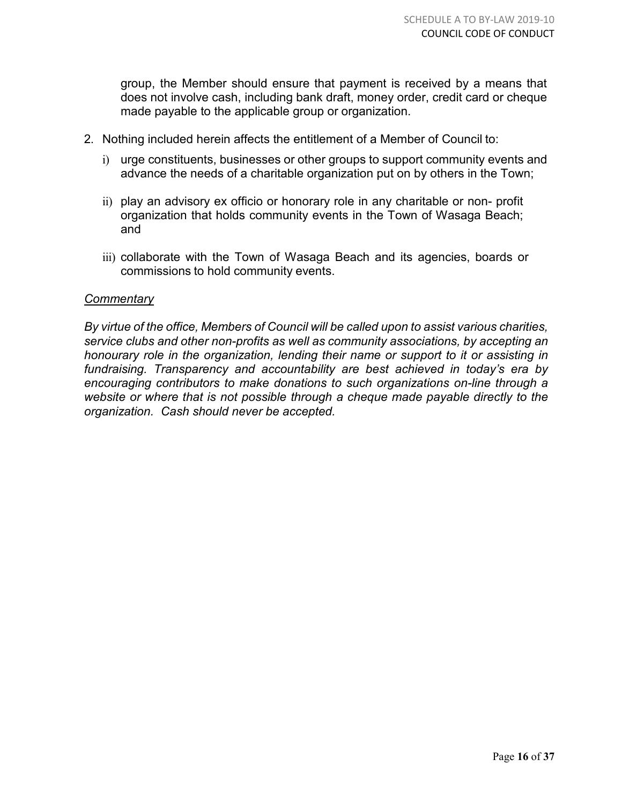group, the Member should ensure that payment is received by a means that does not involve cash, including bank draft, money order, credit card or cheque made payable to the applicable group or organization.

- 2. Nothing included herein affects the entitlement of a Member of Council to:
	- i) urge constituents, businesses or other groups to support community events and advance the needs of a charitable organization put on by others in the Town;
	- ii) play an advisory ex officio or honorary role in any charitable or non- profit organization that holds community events in the Town of Wasaga Beach; and
	- iii) collaborate with the Town of Wasaga Beach and its agencies, boards or commissions to hold community events.

# *Commentary*

*By virtue of the office, Members of Council will be called upon to assist various charities, service clubs and other non-profits as well as community associations, by accepting an honourary role in the organization, lending their name or support to it or assisting in fundraising. Transparency and accountability are best achieved in today's era by encouraging contributors to make donations to such organizations on-line through a website or where that is not possible through a cheque made payable directly to the organization. Cash should never be accepted.*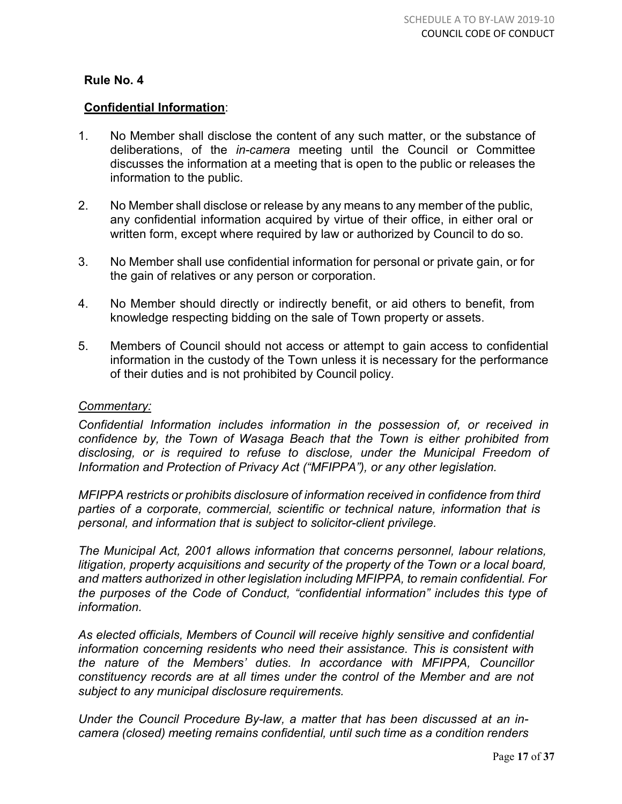# **Confidential Information**:

- 1. No Member shall disclose the content of any such matter, or the substance of deliberations, of the *in-camera* meeting until the Council or Committee discusses the information at a meeting that is open to the public or releases the information to the public.
- 2. No Member shall disclose or release by any means to any member of the public, any confidential information acquired by virtue of their office, in either oral or written form, except where required by law or authorized by Council to do so.
- 3. No Member shall use confidential information for personal or private gain, or for the gain of relatives or any person or corporation.
- 4. No Member should directly or indirectly benefit, or aid others to benefit, from knowledge respecting bidding on the sale of Town property or assets.
- 5. Members of Council should not access or attempt to gain access to confidential information in the custody of the Town unless it is necessary for the performance of their duties and is not prohibited by Council policy.

#### *Commentary:*

*Confidential Information includes information in the possession of, or received in confidence by, the Town of Wasaga Beach that the Town is either prohibited from disclosing, or is required to refuse to disclose, under the Municipal Freedom of Information and Protection of Privacy Act ("MFIPPA"), or any other legislation.*

*MFIPPA restricts or prohibits disclosure of information received in confidence from third parties of a corporate, commercial, scientific or technical nature, information that is personal, and information that is subject to solicitor-client privilege.*

*The Municipal Act, 2001 allows information that concerns personnel, labour relations, litigation, property acquisitions and security of the property of the Town or a local board, and matters authorized in other legislation including MFIPPA, to remain confidential. For the purposes of the Code of Conduct, "confidential information" includes this type of information.*

*As elected officials, Members of Council will receive highly sensitive and confidential information concerning residents who need their assistance. This is consistent with the nature of the Members' duties. In accordance with MFIPPA, Councillor constituency records are at all times under the control of the Member and are not subject to any municipal disclosure requirements.*

*Under the Council Procedure By-law, a matter that has been discussed at an incamera (closed) meeting remains confidential, until such time as a condition renders*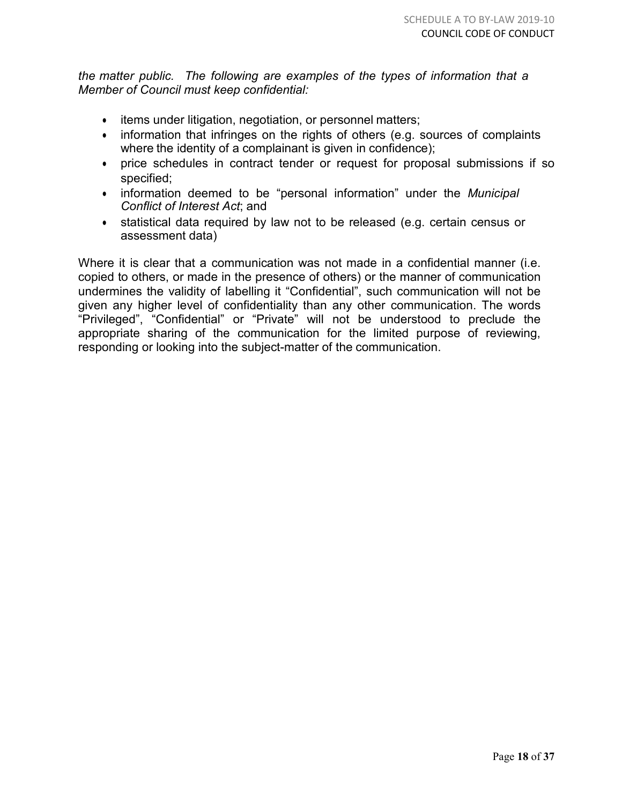*the matter public. The following are examples of the types of information that a Member of Council must keep confidential:*

- items under litigation, negotiation, or personnel matters;
- information that infringes on the rights of others (e.g. sources of complaints where the identity of a complainant is given in confidence);
- price schedules in contract tender or request for proposal submissions if so specified;
- information deemed to be "personal information" under the *Municipal Conflict of Interest Act*; and
- statistical data required by law not to be released (e.g. certain census or assessment data)

Where it is clear that a communication was not made in a confidential manner (i.e. copied to others, or made in the presence of others) or the manner of communication undermines the validity of labelling it "Confidential", such communication will not be given any higher level of confidentiality than any other communication. The words "Privileged", "Confidential" or "Private" will not be understood to preclude the appropriate sharing of the communication for the limited purpose of reviewing, responding or looking into the subject-matter of the communication.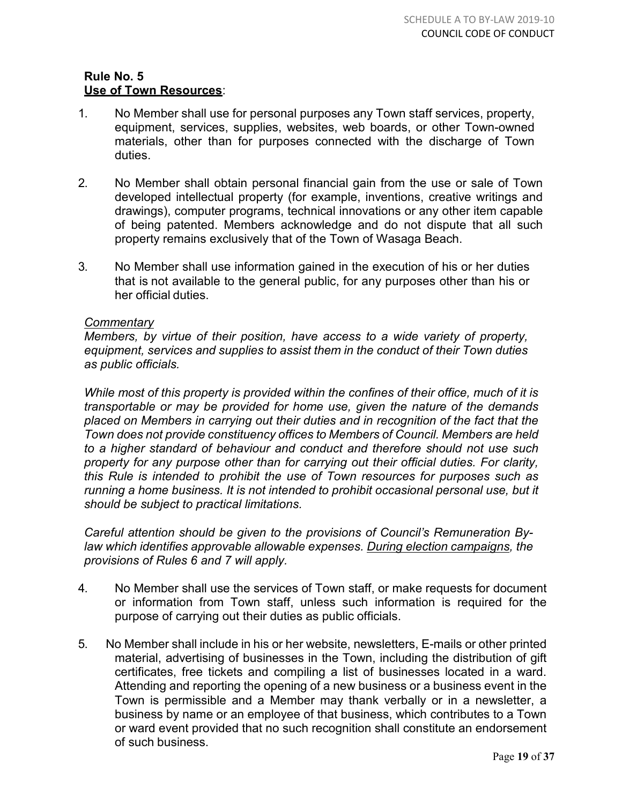#### **Rule No. 5 Use of Town Resources**:

- 1. No Member shall use for personal purposes any Town staff services, property, equipment, services, supplies, websites, web boards, or other Town-owned materials, other than for purposes connected with the discharge of Town duties.
- 2. No Member shall obtain personal financial gain from the use or sale of Town developed intellectual property (for example, inventions, creative writings and drawings), computer programs, technical innovations or any other item capable of being patented. Members acknowledge and do not dispute that all such property remains exclusively that of the Town of Wasaga Beach.
- 3. No Member shall use information gained in the execution of his or her duties that is not available to the general public, for any purposes other than his or her official duties.

# *Commentary*

*Members, by virtue of their position, have access to a wide variety of property, equipment, services and supplies to assist them in the conduct of their Town duties as public officials.*

*While most of this property is provided within the confines of their office, much of it is transportable or may be provided for home use, given the nature of the demands placed on Members in carrying out their duties and in recognition of the fact that the Town does not provide constituency offices to Members of Council. Members are held to a higher standard of behaviour and conduct and therefore should not use such property for any purpose other than for carrying out their official duties. For clarity, this Rule is intended to prohibit the use of Town resources for purposes such as running a home business. It is not intended to prohibit occasional personal use, but it should be subject to practical limitations.*

*Careful attention should be given to the provisions of Council's Remuneration Bylaw which identifies approvable allowable expenses. During election campaigns, the provisions of Rules 6 and 7 will apply.*

- 4. No Member shall use the services of Town staff, or make requests for document or information from Town staff, unless such information is required for the purpose of carrying out their duties as public officials.
- 5. No Member shall include in his or her website, newsletters, E-mails or other printed material, advertising of businesses in the Town, including the distribution of gift certificates, free tickets and compiling a list of businesses located in a ward. Attending and reporting the opening of a new business or a business event in the Town is permissible and a Member may thank verbally or in a newsletter, a business by name or an employee of that business, which contributes to a Town or ward event provided that no such recognition shall constitute an endorsement of such business.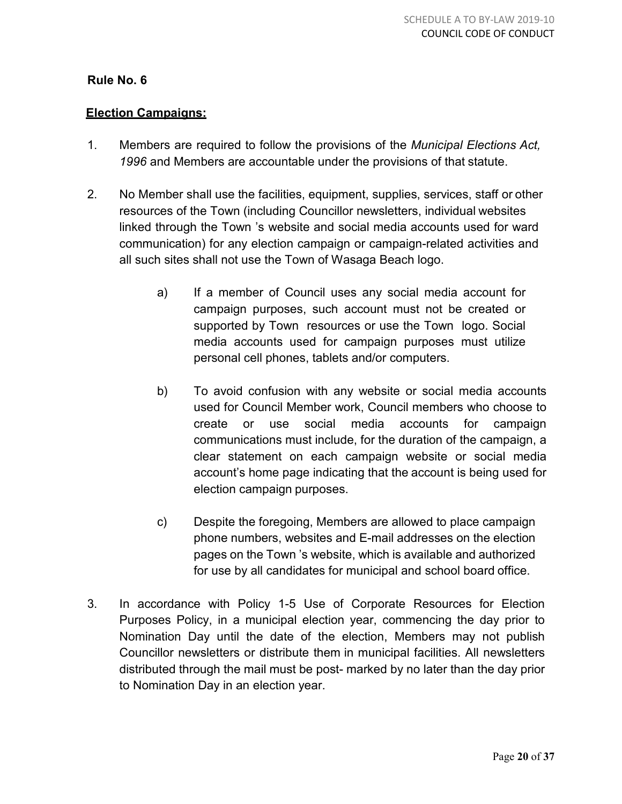# **Election Campaigns:**

- 1. Members are required to follow the provisions of the *Municipal Elections Act, 1996* and Members are accountable under the provisions of that statute.
- 2. No Member shall use the facilities, equipment, supplies, services, staff or other resources of the Town (including Councillor newsletters, individual websites linked through the Town 's website and social media accounts used for ward communication) for any election campaign or campaign-related activities and all such sites shall not use the Town of Wasaga Beach logo.
	- a) If a member of Council uses any social media account for campaign purposes, such account must not be created or supported by Town resources or use the Town logo. Social media accounts used for campaign purposes must utilize personal cell phones, tablets and/or computers.
	- b) To avoid confusion with any website or social media accounts used for Council Member work, Council members who choose to create or use social media accounts for campaign communications must include, for the duration of the campaign, a clear statement on each campaign website or social media account's home page indicating that the account is being used for election campaign purposes.
	- c) Despite the foregoing, Members are allowed to place campaign phone numbers, websites and E-mail addresses on the election pages on the Town 's website, which is available and authorized for use by all candidates for municipal and school board office.
- 3. In accordance with Policy 1-5 Use of Corporate Resources for Election Purposes Policy, in a municipal election year, commencing the day prior to Nomination Day until the date of the election, Members may not publish Councillor newsletters or distribute them in municipal facilities. All newsletters distributed through the mail must be post- marked by no later than the day prior to Nomination Day in an election year.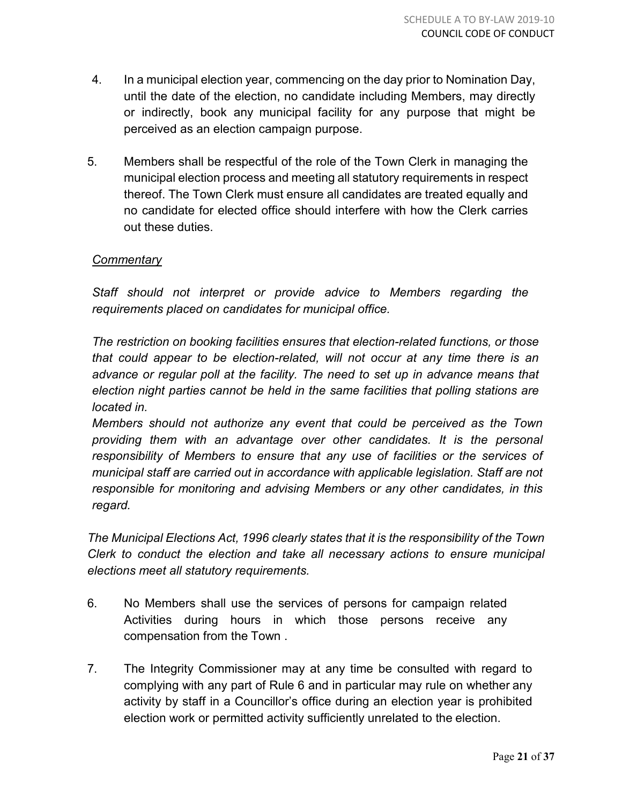- 4. In a municipal election year, commencing on the day prior to Nomination Day, until the date of the election, no candidate including Members, may directly or indirectly, book any municipal facility for any purpose that might be perceived as an election campaign purpose.
- 5. Members shall be respectful of the role of the Town Clerk in managing the municipal election process and meeting all statutory requirements in respect thereof. The Town Clerk must ensure all candidates are treated equally and no candidate for elected office should interfere with how the Clerk carries out these duties.

# *Commentary*

*Staff should not interpret or provide advice to Members regarding the requirements placed on candidates for municipal office.*

*The restriction on booking facilities ensures that election-related functions, or those that could appear to be election-related, will not occur at any time there is an advance or regular poll at the facility. The need to set up in advance means that election night parties cannot be held in the same facilities that polling stations are located in.*

*Members should not authorize any event that could be perceived as the Town providing them with an advantage over other candidates. It is the personal responsibility of Members to ensure that any use of facilities or the services of municipal staff are carried out in accordance with applicable legislation. Staff are not responsible for monitoring and advising Members or any other candidates, in this regard.*

*The Municipal Elections Act, 1996 clearly states that it is the responsibility of the Town Clerk to conduct the election and take all necessary actions to ensure municipal elections meet all statutory requirements.*

- 6. No Members shall use the services of persons for campaign related Activities during hours in which those persons receive any compensation from the Town .
- 7. The Integrity Commissioner may at any time be consulted with regard to complying with any part of Rule 6 and in particular may rule on whether any activity by staff in a Councillor's office during an election year is prohibited election work or permitted activity sufficiently unrelated to the election.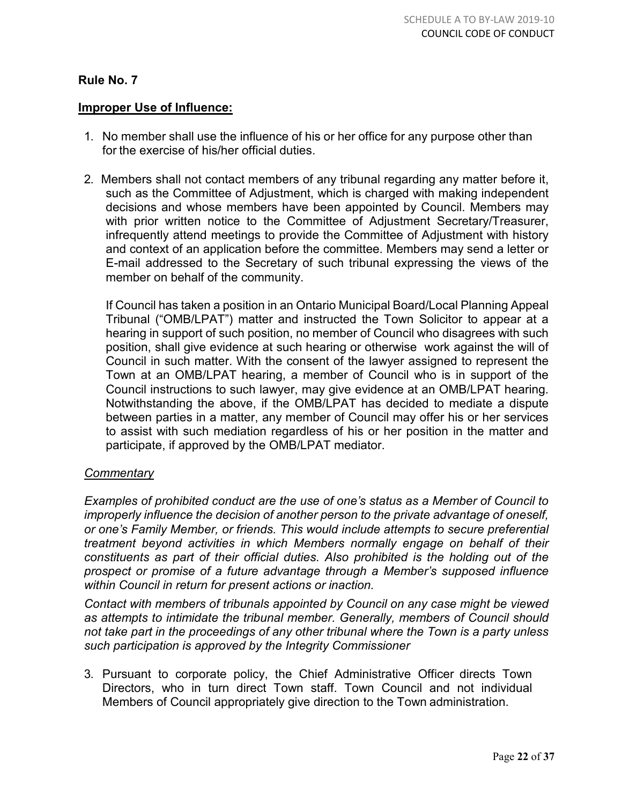#### **Improper Use of Influence:**

- 1. No member shall use the influence of his or her office for any purpose other than for the exercise of his/her official duties.
- 2. Members shall not contact members of any tribunal regarding any matter before it, such as the Committee of Adjustment, which is charged with making independent decisions and whose members have been appointed by Council. Members may with prior written notice to the Committee of Adjustment Secretary/Treasurer, infrequently attend meetings to provide the Committee of Adjustment with history and context of an application before the committee. Members may send a letter or E-mail addressed to the Secretary of such tribunal expressing the views of the member on behalf of the community.

If Council has taken a position in an Ontario Municipal Board/Local Planning Appeal Tribunal ("OMB/LPAT") matter and instructed the Town Solicitor to appear at a hearing in support of such position, no member of Council who disagrees with such position, shall give evidence at such hearing or otherwise work against the will of Council in such matter. With the consent of the lawyer assigned to represent the Town at an OMB/LPAT hearing, a member of Council who is in support of the Council instructions to such lawyer, may give evidence at an OMB/LPAT hearing. Notwithstanding the above, if the OMB/LPAT has decided to mediate a dispute between parties in a matter, any member of Council may offer his or her services to assist with such mediation regardless of his or her position in the matter and participate, if approved by the OMB/LPAT mediator.

#### *Commentary*

*Examples of prohibited conduct are the use of one's status as a Member of Council to improperly influence the decision of another person to the private advantage of oneself, or one's Family Member, or friends. This would include attempts to secure preferential treatment beyond activities in which Members normally engage on behalf of their constituents as part of their official duties. Also prohibited is the holding out of the prospect or promise of a future advantage through a Member's supposed influence within Council in return for present actions or inaction.*

*Contact with members of tribunals appointed by Council on any case might be viewed as attempts to intimidate the tribunal member. Generally, members of Council should not take part in the proceedings of any other tribunal where the Town is a party unless such participation is approved by the Integrity Commissioner*

3. Pursuant to corporate policy, the Chief Administrative Officer directs Town Directors, who in turn direct Town staff. Town Council and not individual Members of Council appropriately give direction to the Town administration.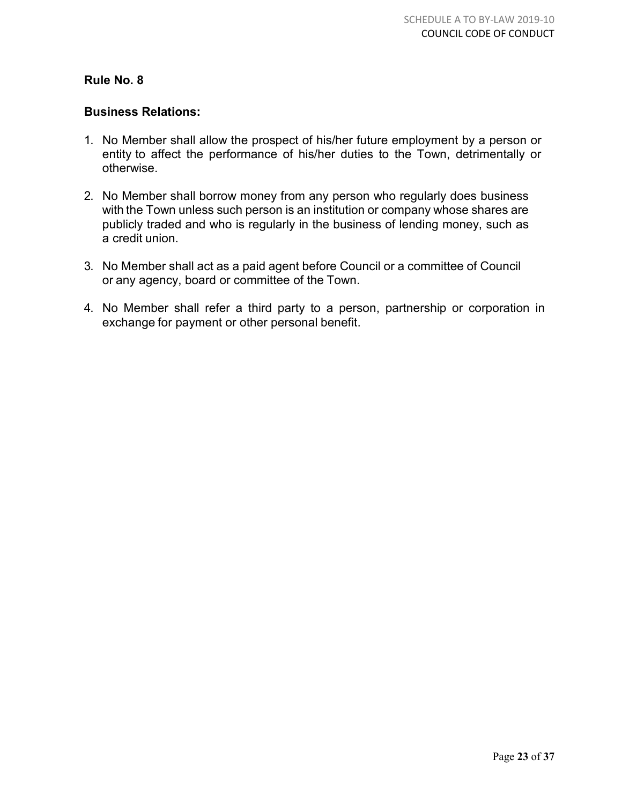## **Business Relations:**

- 1. No Member shall allow the prospect of his/her future employment by a person or entity to affect the performance of his/her duties to the Town, detrimentally or otherwise.
- 2. No Member shall borrow money from any person who regularly does business with the Town unless such person is an institution or company whose shares are publicly traded and who is regularly in the business of lending money, such as a credit union.
- 3. No Member shall act as a paid agent before Council or a committee of Council or any agency, board or committee of the Town.
- 4. No Member shall refer a third party to a person, partnership or corporation in exchange for payment or other personal benefit.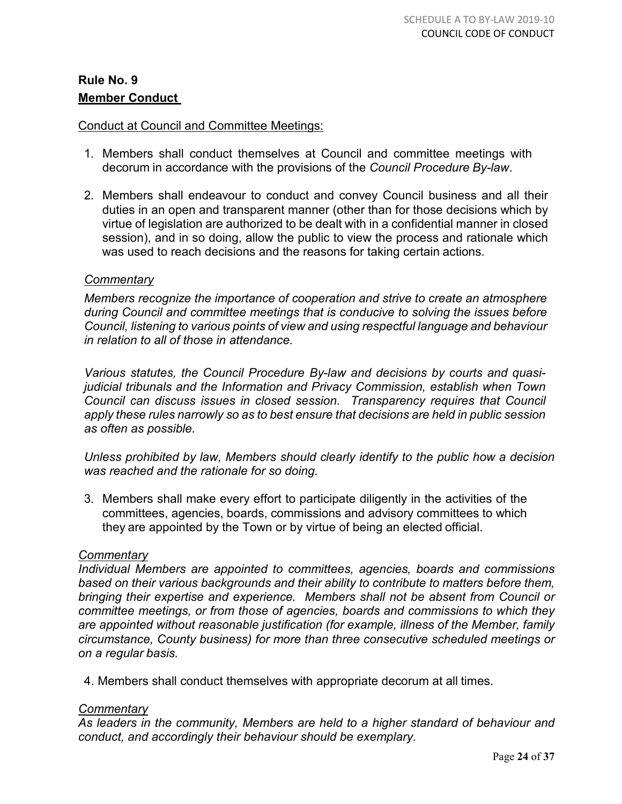# **Rule No. 9 Member Conduct**

## Conduct at Council and Committee Meetings:

- 1. Members shall conduct themselves at Council and committee meetings with decorum in accordance with the provisions of the *Council Procedure By-law*.
- 2. Members shall endeavour to conduct and convey Council business and all their duties in an open and transparent manner (other than for those decisions which by virtue of legislation are authorized to be dealt with in a confidential manner in closed session), and in so doing, allow the public to view the process and rationale which was used to reach decisions and the reasons for taking certain actions.

# *Commentary*

*Members recognize the importance of cooperation and strive to create an atmosphere during Council and committee meetings that is conducive to solving the issues before Council, listening to various points of view and using respectful language and behaviour in relation to all of those in attendance.*

*Various statutes, the Council Procedure By-law and decisions by courts and quasijudicial tribunals and the Information and Privacy Commission, establish when Town Council can discuss issues in closed session. Transparency requires that Council apply these rules narrowly so as to best ensure that decisions are held in public session as often as possible.*

*Unless prohibited by law, Members should clearly identify to the public how a decision was reached and the rationale for so doing.*

3. Members shall make every effort to participate diligently in the activities of the committees, agencies, boards, commissions and advisory committees to which they are appointed by the Town or by virtue of being an elected official.

#### *Commentary*

*Individual Members are appointed to committees, agencies, boards and commissions based on their various backgrounds and their ability to contribute to matters before them, bringing their expertise and experience. Members shall not be absent from Council or committee meetings, or from those of agencies, boards and commissions to which they are appointed without reasonable justification (for example, illness of the Member, family circumstance, County business) for more than three consecutive scheduled meetings or on a regular basis.*

4. Members shall conduct themselves with appropriate decorum at all times.

#### *Commentary*

*As leaders in the community, Members are held to a higher standard of behaviour and conduct, and accordingly their behaviour should be exemplary.*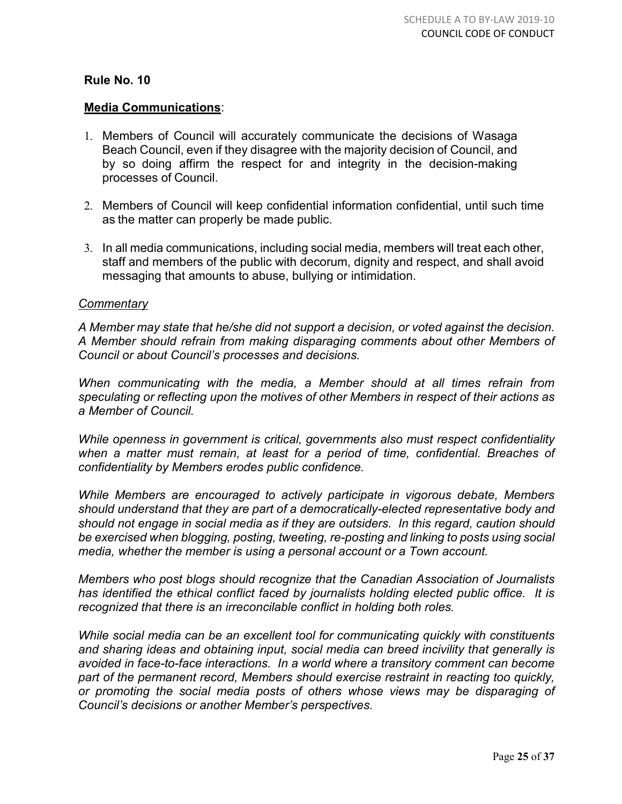# **Media Communications**:

- 1. Members of Council will accurately communicate the decisions of Wasaga Beach Council, even if they disagree with the majority decision of Council, and by so doing affirm the respect for and integrity in the decision-making processes of Council.
- 2. Members of Council will keep confidential information confidential, until such time as the matter can properly be made public.
- 3. In all media communications, including social media, members will treat each other, staff and members of the public with decorum, dignity and respect, and shall avoid messaging that amounts to abuse, bullying or intimidation.

#### *Commentary*

*A Member may state that he/she did not support a decision, or voted against the decision. A Member should refrain from making disparaging comments about other Members of Council or about Council's processes and decisions.*

*When communicating with the media, a Member should at all times refrain from speculating or reflecting upon the motives of other Members in respect of their actions as a Member of Council.*

*While openness in government is critical, governments also must respect confidentiality when a matter must remain, at least for a period of time, confidential. Breaches of confidentiality by Members erodes public confidence.*

*While Members are encouraged to actively participate in vigorous debate, Members should understand that they are part of a democratically-elected representative body and should not engage in social media as if they are outsiders. In this regard, caution should be exercised when blogging, posting, tweeting, re-posting and linking to posts using social media, whether the member is using a personal account or a Town account.*

*Members who post blogs should recognize that the Canadian Association of Journalists has identified the ethical conflict faced by journalists holding elected public office. It is recognized that there is an irreconcilable conflict in holding both roles.* 

*While social media can be an excellent tool for communicating quickly with constituents and sharing ideas and obtaining input, social media can breed incivility that generally is avoided in face-to-face interactions. In a world where a transitory comment can become part of the permanent record, Members should exercise restraint in reacting too quickly, or promoting the social media posts of others whose views may be disparaging of Council's decisions or another Member's perspectives.*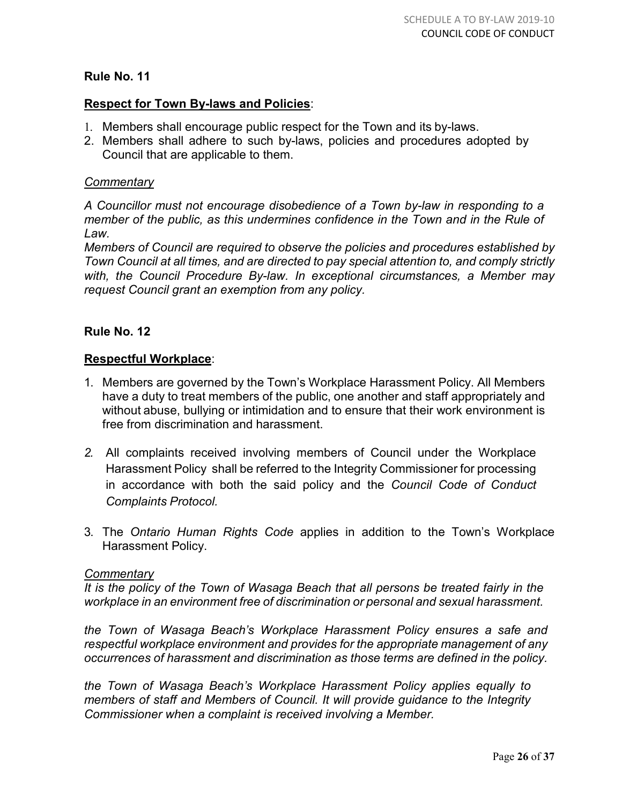# **Respect for Town By-laws and Policies**:

- 1. Members shall encourage public respect for the Town and its by-laws.
- 2. Members shall adhere to such by-laws, policies and procedures adopted by Council that are applicable to them.

## *Commentary*

*A Councillor must not encourage disobedience of a Town by-law in responding to a member of the public, as this undermines confidence in the Town and in the Rule of Law.*

*Members of Council are required to observe the policies and procedures established by Town Council at all times, and are directed to pay special attention to, and comply strictly with, the Council Procedure By-law. In exceptional circumstances, a Member may request Council grant an exemption from any policy.*

# **Rule No. 12**

# **Respectful Workplace**:

- 1. Members are governed by the Town's Workplace Harassment Policy. All Members have a duty to treat members of the public, one another and staff appropriately and without abuse, bullying or intimidation and to ensure that their work environment is free from discrimination and harassment.
- *2.* All complaints received involving members of Council under the Workplace Harassment Policy shall be referred to the Integrity Commissioner for processing in accordance with both the said policy and the *Council Code of Conduct Complaints Protocol.*
- 3. The *Ontario Human Rights Code* applies in addition to the Town's Workplace Harassment Policy.

#### *Commentary*

*It is the policy of the Town of Wasaga Beach that all persons be treated fairly in the workplace in an environment free of discrimination or personal and sexual harassment.*

*the Town of Wasaga Beach's Workplace Harassment Policy ensures a safe and respectful workplace environment and provides for the appropriate management of any occurrences of harassment and discrimination as those terms are defined in the policy.*

*the Town of Wasaga Beach's Workplace Harassment Policy applies equally to members of staff and Members of Council. It will provide guidance to the Integrity Commissioner when a complaint is received involving a Member.*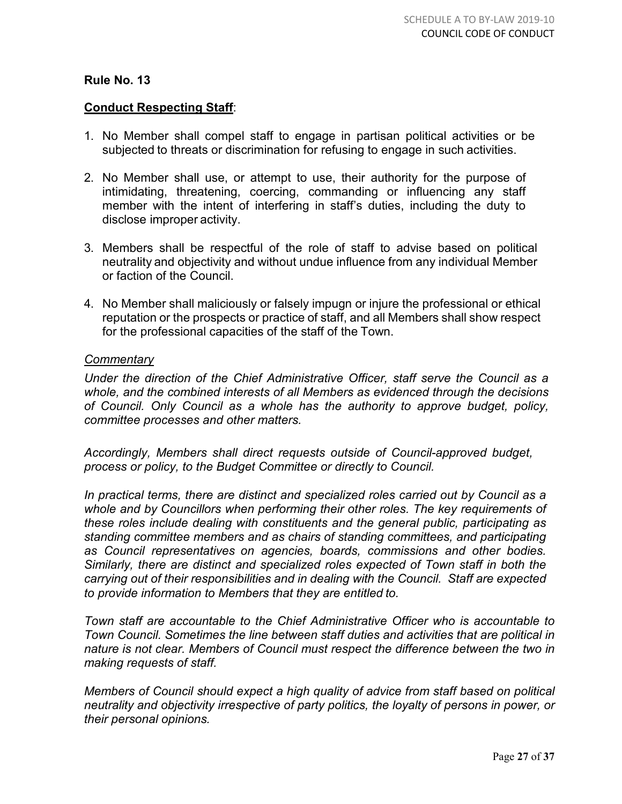# **Conduct Respecting Staff**:

- 1. No Member shall compel staff to engage in partisan political activities or be subjected to threats or discrimination for refusing to engage in such activities.
- 2. No Member shall use, or attempt to use, their authority for the purpose of intimidating, threatening, coercing, commanding or influencing any staff member with the intent of interfering in staff's duties, including the duty to disclose improper activity.
- 3. Members shall be respectful of the role of staff to advise based on political neutrality and objectivity and without undue influence from any individual Member or faction of the Council.
- 4. No Member shall maliciously or falsely impugn or injure the professional or ethical reputation or the prospects or practice of staff, and all Members shall show respect for the professional capacities of the staff of the Town.

#### *Commentary*

*Under the direction of the Chief Administrative Officer, staff serve the Council as a whole, and the combined interests of all Members as evidenced through the decisions of Council. Only Council as a whole has the authority to approve budget, policy, committee processes and other matters.*

*Accordingly, Members shall direct requests outside of Council-approved budget, process or policy, to the Budget Committee or directly to Council.*

*In practical terms, there are distinct and specialized roles carried out by Council as a whole and by Councillors when performing their other roles. The key requirements of these roles include dealing with constituents and the general public, participating as standing committee members and as chairs of standing committees, and participating as Council representatives on agencies, boards, commissions and other bodies. Similarly, there are distinct and specialized roles expected of Town staff in both the carrying out of their responsibilities and in dealing with the Council. Staff are expected to provide information to Members that they are entitled to.*

*Town staff are accountable to the Chief Administrative Officer who is accountable to Town Council. Sometimes the line between staff duties and activities that are political in nature is not clear. Members of Council must respect the difference between the two in making requests of staff.*

*Members of Council should expect a high quality of advice from staff based on political neutrality and objectivity irrespective of party politics, the loyalty of persons in power, or their personal opinions.*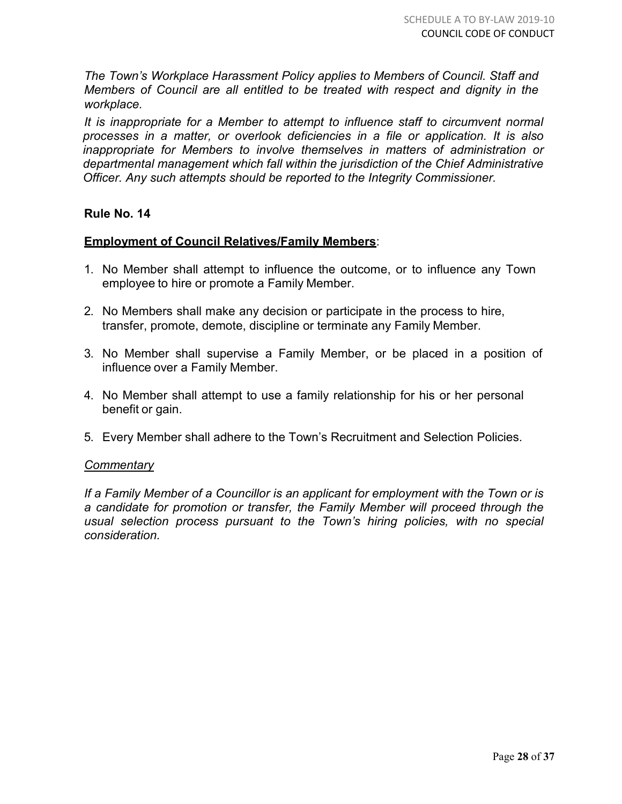*The Town's Workplace Harassment Policy applies to Members of Council. Staff and Members of Council are all entitled to be treated with respect and dignity in the workplace.*

*It is inappropriate for a Member to attempt to influence staff to circumvent normal processes in a matter, or overlook deficiencies in a file or application. It is also inappropriate for Members to involve themselves in matters of administration or departmental management which fall within the jurisdiction of the Chief Administrative Officer. Any such attempts should be reported to the Integrity Commissioner.*

#### **Rule No. 14**

# **Employment of Council Relatives/Family Members**:

- 1. No Member shall attempt to influence the outcome, or to influence any Town employee to hire or promote a Family Member.
- 2. No Members shall make any decision or participate in the process to hire, transfer, promote, demote, discipline or terminate any Family Member.
- 3. No Member shall supervise a Family Member, or be placed in a position of influence over a Family Member.
- 4. No Member shall attempt to use a family relationship for his or her personal benefit or gain.
- 5. Every Member shall adhere to the Town's Recruitment and Selection Policies.

#### *Commentary*

*If a Family Member of a Councillor is an applicant for employment with the Town or is a candidate for promotion or transfer, the Family Member will proceed through the usual selection process pursuant to the Town's hiring policies, with no special consideration.*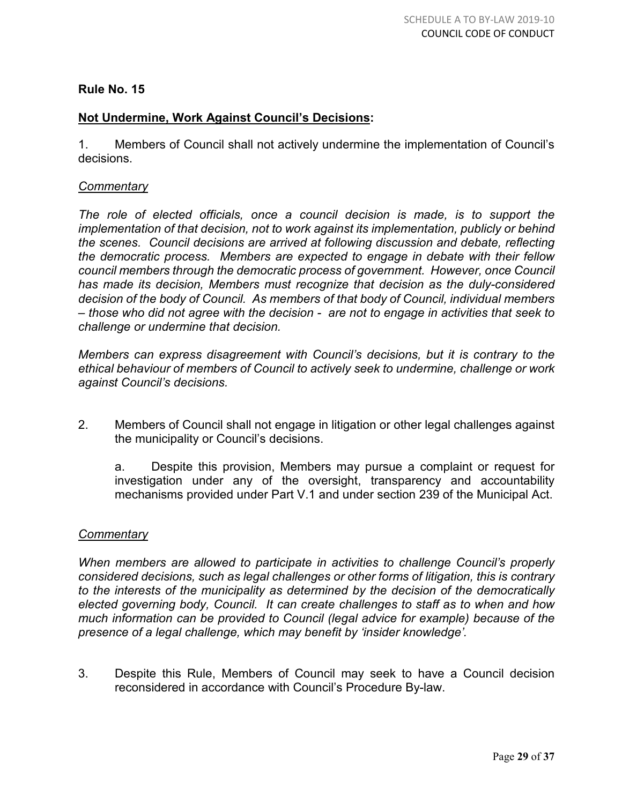# **Not Undermine, Work Against Council's Decisions:**

1. Members of Council shall not actively undermine the implementation of Council's decisions.

# *Commentary*

The role of elected officials, once a council decision is made, is to support the *implementation of that decision, not to work against its implementation, publicly or behind the scenes. Council decisions are arrived at following discussion and debate, reflecting the democratic process. Members are expected to engage in debate with their fellow council members through the democratic process of government. However, once Council has made its decision, Members must recognize that decision as the duly-considered decision of the body of Council. As members of that body of Council, individual members – those who did not agree with the decision - are not to engage in activities that seek to challenge or undermine that decision.* 

*Members can express disagreement with Council's decisions, but it is contrary to the ethical behaviour of members of Council to actively seek to undermine, challenge or work against Council's decisions.*

2. Members of Council shall not engage in litigation or other legal challenges against the municipality or Council's decisions.

a. Despite this provision, Members may pursue a complaint or request for investigation under any of the oversight, transparency and accountability mechanisms provided under Part V.1 and under section 239 of the Municipal Act.

#### *Commentary*

*When members are allowed to participate in activities to challenge Council's properly considered decisions, such as legal challenges or other forms of litigation, this is contrary to the interests of the municipality as determined by the decision of the democratically elected governing body, Council. It can create challenges to staff as to when and how much information can be provided to Council (legal advice for example) because of the presence of a legal challenge, which may benefit by 'insider knowledge'.*

3. Despite this Rule, Members of Council may seek to have a Council decision reconsidered in accordance with Council's Procedure By-law.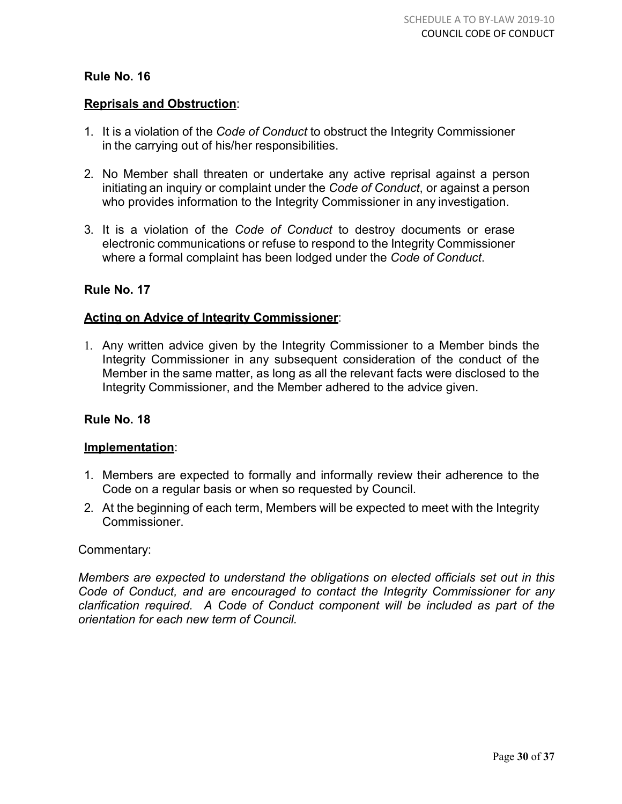# **Reprisals and Obstruction**:

- 1. It is a violation of the *Code of Conduct* to obstruct the Integrity Commissioner in the carrying out of his/her responsibilities.
- 2. No Member shall threaten or undertake any active reprisal against a person initiating an inquiry or complaint under the *Code of Conduct*, or against a person who provides information to the Integrity Commissioner in any investigation.
- 3. It is a violation of the *Code of Conduct* to destroy documents or erase electronic communications or refuse to respond to the Integrity Commissioner where a formal complaint has been lodged under the *Code of Conduct*.

# **Rule No. 17**

# **Acting on Advice of Integrity Commissioner**:

1. Any written advice given by the Integrity Commissioner to a Member binds the Integrity Commissioner in any subsequent consideration of the conduct of the Member in the same matter, as long as all the relevant facts were disclosed to the Integrity Commissioner, and the Member adhered to the advice given.

# **Rule No. 18**

#### **Implementation**:

- 1. Members are expected to formally and informally review their adherence to the Code on a regular basis or when so requested by Council.
- 2. At the beginning of each term, Members will be expected to meet with the Integrity Commissioner.

#### Commentary:

*Members are expected to understand the obligations on elected officials set out in this Code of Conduct, and are encouraged to contact the Integrity Commissioner for any clarification required. A Code of Conduct component will be included as part of the orientation for each new term of Council.*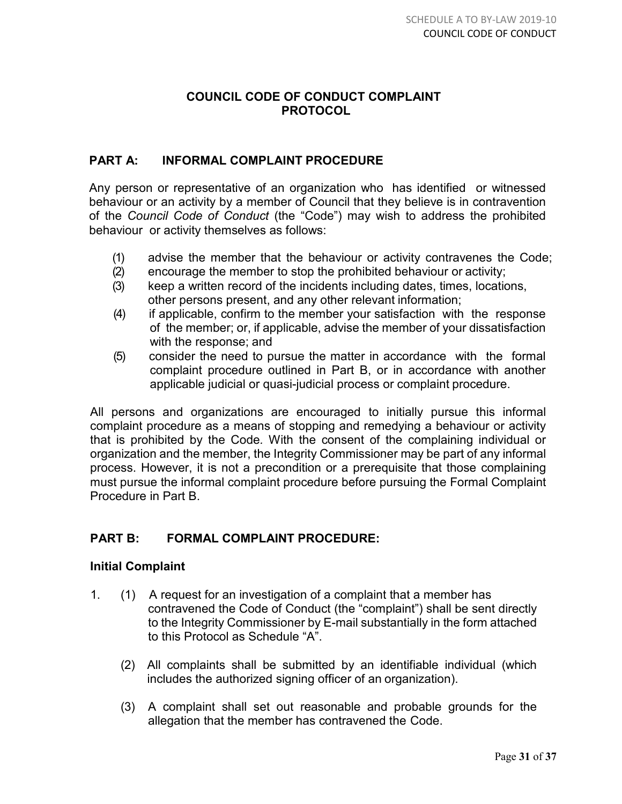# **COUNCIL CODE OF CONDUCT COMPLAINT PROTOCOL**

# **PART A: INFORMAL COMPLAINT PROCEDURE**

Any person or representative of an organization who has identified or witnessed behaviour or an activity by a member of Council that they believe is in contravention of the *Council Code of Conduct* (the "Code") may wish to address the prohibited behaviour or activity themselves as follows:

- (1) advise the member that the behaviour or activity contravenes the Code;
- (2) encourage the member to stop the prohibited behaviour or activity;
- (3) keep a written record of the incidents including dates, times, locations, other persons present, and any other relevant information;
- (4) if applicable, confirm to the member your satisfaction with the response of the member; or, if applicable, advise the member of your dissatisfaction with the response; and
- (5) consider the need to pursue the matter in accordance with the formal complaint procedure outlined in Part B, or in accordance with another applicable judicial or quasi-judicial process or complaint procedure.

All persons and organizations are encouraged to initially pursue this informal complaint procedure as a means of stopping and remedying a behaviour or activity that is prohibited by the Code*.* With the consent of the complaining individual or organization and the member, the Integrity Commissioner may be part of any informal process. However, it is not a precondition or a prerequisite that those complaining must pursue the informal complaint procedure before pursuing the Formal Complaint Procedure in Part B.

# **PART B: FORMAL COMPLAINT PROCEDURE:**

# **Initial Complaint**

- 1. (1) A request for an investigation of a complaint that a member has contravened the Code of Conduct (the "complaint") shall be sent directly to the Integrity Commissioner by E-mail substantially in the form attached to this Protocol as Schedule "A".
	- (2) All complaints shall be submitted by an identifiable individual (which includes the authorized signing officer of an organization).
	- (3) A complaint shall set out reasonable and probable grounds for the allegation that the member has contravened the Code.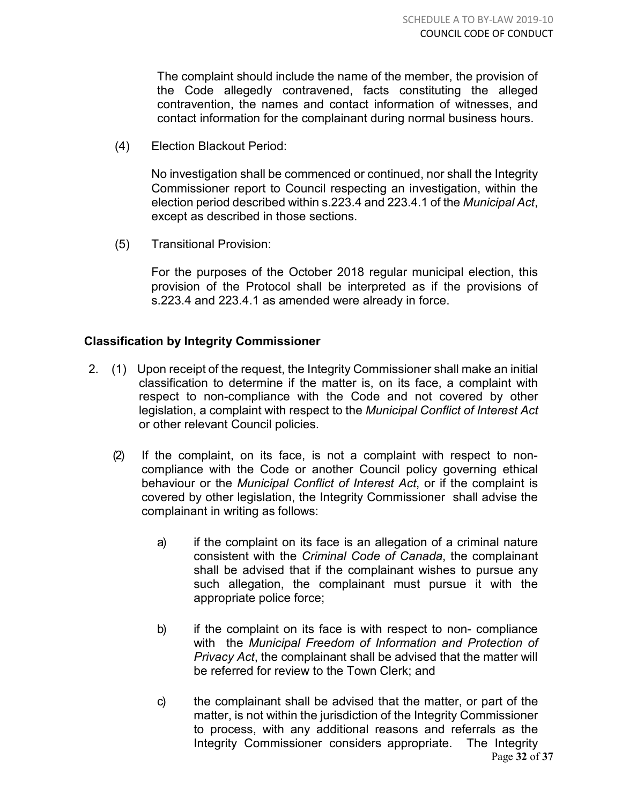The complaint should include the name of the member, the provision of the Code allegedly contravened, facts constituting the alleged contravention, the names and contact information of witnesses, and contact information for the complainant during normal business hours.

(4) Election Blackout Period:

No investigation shall be commenced or continued, nor shall the Integrity Commissioner report to Council respecting an investigation, within the election period described within s.223.4 and 223.4.1 of the *Municipal Act*, except as described in those sections.

(5) Transitional Provision:

For the purposes of the October 2018 regular municipal election, this provision of the Protocol shall be interpreted as if the provisions of s.223.4 and 223.4.1 as amended were already in force.

# **Classification by Integrity Commissioner**

- 2. (1) Upon receipt of the request, the Integrity Commissioner shall make an initial classification to determine if the matter is, on its face, a complaint with respect to non-compliance with the Code and not covered by other legislation, a complaint with respect to the *Municipal Conflict of Interest Act* or other relevant Council policies.
	- (2) If the complaint, on its face, is not a complaint with respect to noncompliance with the Code or another Council policy governing ethical behaviour or the *Municipal Conflict of Interest Act*, or if the complaint is covered by other legislation, the Integrity Commissioner shall advise the complainant in writing as follows:
		- a) if the complaint on its face is an allegation of a criminal nature consistent with the *Criminal Code of Canada*, the complainant shall be advised that if the complainant wishes to pursue any such allegation, the complainant must pursue it with the appropriate police force;
		- b) if the complaint on its face is with respect to non- compliance with the *Municipal Freedom of Information and Protection of Privacy Act*, the complainant shall be advised that the matter will be referred for review to the Town Clerk; and
		- Page **32** of **37** c) the complainant shall be advised that the matter, or part of the matter, is not within the jurisdiction of the Integrity Commissioner to process, with any additional reasons and referrals as the Integrity Commissioner considers appropriate. The Integrity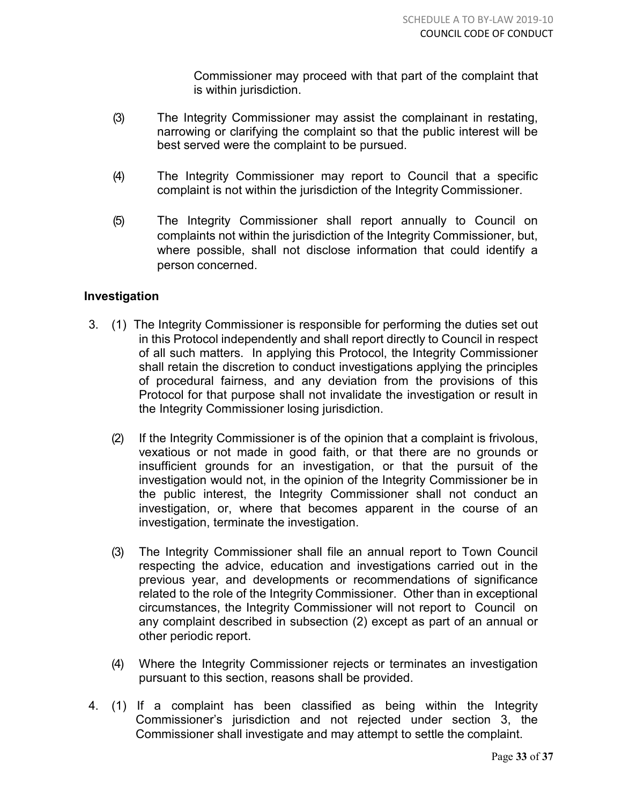Commissioner may proceed with that part of the complaint that is within jurisdiction.

- (3) The Integrity Commissioner may assist the complainant in restating, narrowing or clarifying the complaint so that the public interest will be best served were the complaint to be pursued.
- (4) The Integrity Commissioner may report to Council that a specific complaint is not within the jurisdiction of the Integrity Commissioner.
- (5) The Integrity Commissioner shall report annually to Council on complaints not within the jurisdiction of the Integrity Commissioner, but, where possible, shall not disclose information that could identify a person concerned.

# **Investigation**

- 3. (1) The Integrity Commissioner is responsible for performing the duties set out in this Protocol independently and shall report directly to Council in respect of all such matters. In applying this Protocol, the Integrity Commissioner shall retain the discretion to conduct investigations applying the principles of procedural fairness, and any deviation from the provisions of this Protocol for that purpose shall not invalidate the investigation or result in the Integrity Commissioner losing jurisdiction.
	- (2) If the Integrity Commissioner is of the opinion that a complaint is frivolous, vexatious or not made in good faith, or that there are no grounds or insufficient grounds for an investigation, or that the pursuit of the investigation would not, in the opinion of the Integrity Commissioner be in the public interest, the Integrity Commissioner shall not conduct an investigation, or, where that becomes apparent in the course of an investigation, terminate the investigation.
	- (3) The Integrity Commissioner shall file an annual report to Town Council respecting the advice, education and investigations carried out in the previous year, and developments or recommendations of significance related to the role of the Integrity Commissioner. Other than in exceptional circumstances, the Integrity Commissioner will not report to Council on any complaint described in subsection (2) except as part of an annual or other periodic report.
	- (4) Where the Integrity Commissioner rejects or terminates an investigation pursuant to this section, reasons shall be provided.
- 4. (1) If a complaint has been classified as being within the Integrity Commissioner's jurisdiction and not rejected under section 3, the Commissioner shall investigate and may attempt to settle the complaint.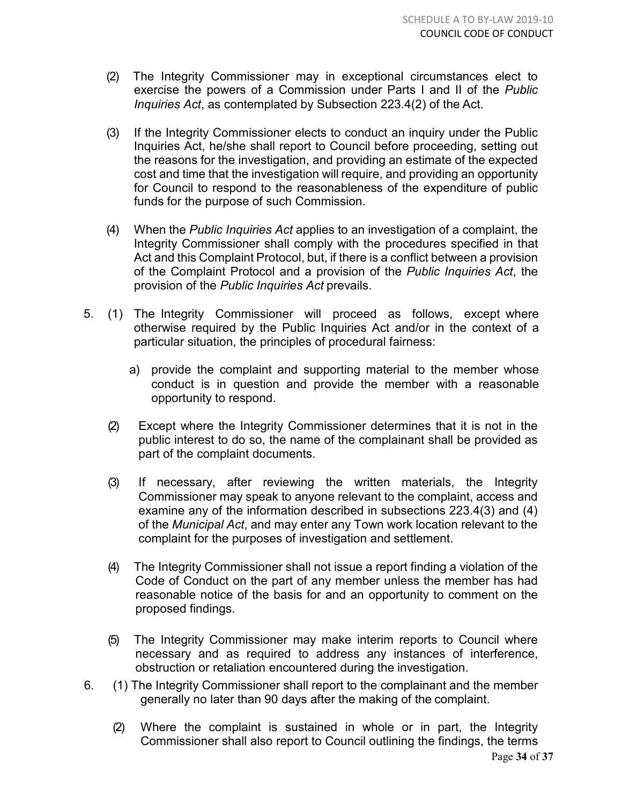- (2) The Integrity Commissioner may in exceptional circumstances elect to exercise the powers of a Commission under Parts I and II of the *Public Inquiries Act*, as contemplated by Subsection 223.4(2) of the Act.
- (3) If the Integrity Commissioner elects to conduct an inquiry under the Public Inquiries Act, he/she shall report to Council before proceeding, setting out the reasons for the investigation, and providing an estimate of the expected cost and time that the investigation will require, and providing an opportunity for Council to respond to the reasonableness of the expenditure of public funds for the purpose of such Commission.
- (4) When the *Public Inquiries Act* applies to an investigation of a complaint, the Integrity Commissioner shall comply with the procedures specified in that Act and this Complaint Protocol, but, if there is a conflict between a provision of the Complaint Protocol and a provision of the *Public Inquiries Act*, the provision of the *Public Inquiries Act* prevails.
- 5. (1) The Integrity Commissioner will proceed as follows, except where otherwise required by the Public Inquiries Act and/or in the context of a particular situation, the principles of procedural fairness:
	- a) provide the complaint and supporting material to the member whose conduct is in question and provide the member with a reasonable opportunity to respond.
	- (2) Except where the Integrity Commissioner determines that it is not in the public interest to do so, the name of the complainant shall be provided as part of the complaint documents.
	- (3) If necessary, after reviewing the written materials, the Integrity Commissioner may speak to anyone relevant to the complaint, access and examine any of the information described in subsections 223.4(3) and (4) of the *Municipal Act*, and may enter any Town work location relevant to the complaint for the purposes of investigation and settlement.
	- (4) The Integrity Commissioner shall not issue a report finding a violation of the Code of Conduct on the part of any member unless the member has had reasonable notice of the basis for and an opportunity to comment on the proposed findings.
	- (5) The Integrity Commissioner may make interim reports to Council where necessary and as required to address any instances of interference, obstruction or retaliation encountered during the investigation.
- 6. (1) The Integrity Commissioner shall report to the complainant and the member generally no later than 90 days after the making of the complaint.
	- (2) Where the complaint is sustained in whole or in part, the Integrity Commissioner shall also report to Council outlining the findings, the terms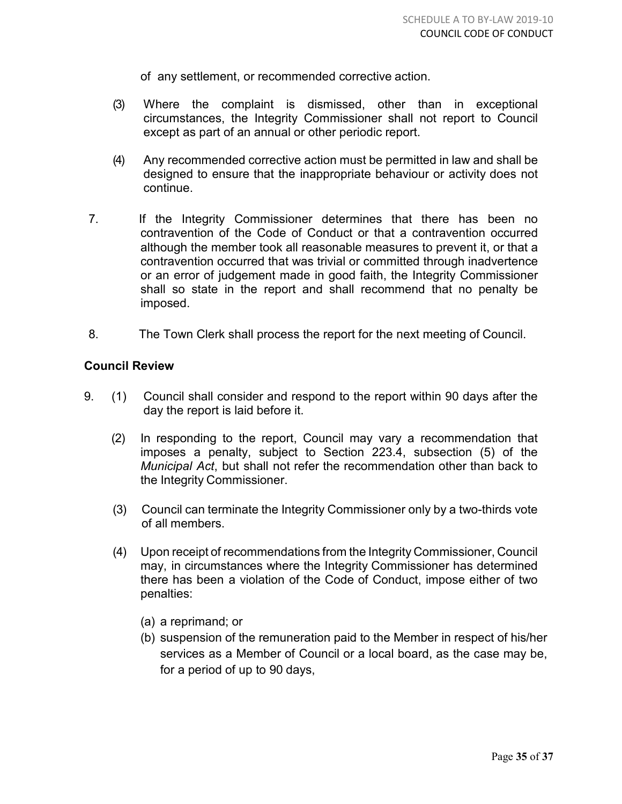of any settlement, or recommended corrective action.

- (3) Where the complaint is dismissed, other than in exceptional circumstances, the Integrity Commissioner shall not report to Council except as part of an annual or other periodic report.
- (4) Any recommended corrective action must be permitted in law and shall be designed to ensure that the inappropriate behaviour or activity does not continue.
- 7. If the Integrity Commissioner determines that there has been no contravention of the Code of Conduct or that a contravention occurred although the member took all reasonable measures to prevent it, or that a contravention occurred that was trivial or committed through inadvertence or an error of judgement made in good faith, the Integrity Commissioner shall so state in the report and shall recommend that no penalty be imposed.
- 8. The Town Clerk shall process the report for the next meeting of Council.

# **Council Review**

- 9. (1) Council shall consider and respond to the report within 90 days after the day the report is laid before it.
	- (2) In responding to the report, Council may vary a recommendation that imposes a penalty, subject to Section 223.4, subsection (5) of the *Municipal Act*, but shall not refer the recommendation other than back to the Integrity Commissioner.
	- (3) Council can terminate the Integrity Commissioner only by a two-thirds vote of all members.
	- (4) Upon receipt of recommendations from the Integrity Commissioner, Council may, in circumstances where the Integrity Commissioner has determined there has been a violation of the Code of Conduct, impose either of two penalties:
		- (a) a reprimand; or
		- (b) suspension of the remuneration paid to the Member in respect of his/her services as a Member of Council or a local board, as the case may be, for a period of up to 90 days,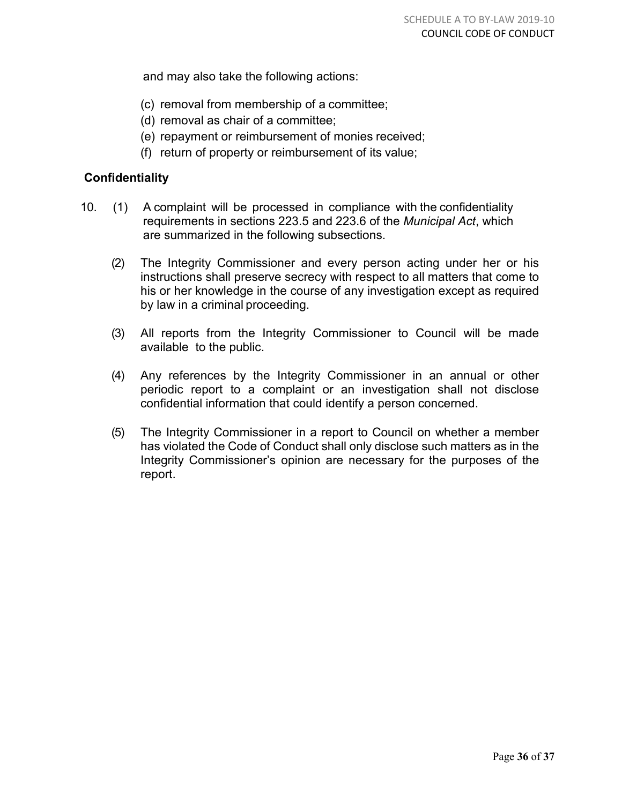and may also take the following actions:

- (c) removal from membership of a committee;
- (d) removal as chair of a committee;
- (e) repayment or reimbursement of monies received;
- (f) return of property or reimbursement of its value;

# **Confidentiality**

- 10. (1) A complaint will be processed in compliance with the confidentiality requirements in sections 223.5 and 223.6 of the *Municipal Act*, which are summarized in the following subsections.
	- (2) The Integrity Commissioner and every person acting under her or his instructions shall preserve secrecy with respect to all matters that come to his or her knowledge in the course of any investigation except as required by law in a criminal proceeding.
	- (3) All reports from the Integrity Commissioner to Council will be made available to the public.
	- (4) Any references by the Integrity Commissioner in an annual or other periodic report to a complaint or an investigation shall not disclose confidential information that could identify a person concerned.
	- (5) The Integrity Commissioner in a report to Council on whether a member has violated the Code of Conduct shall only disclose such matters as in the Integrity Commissioner's opinion are necessary for the purposes of the report.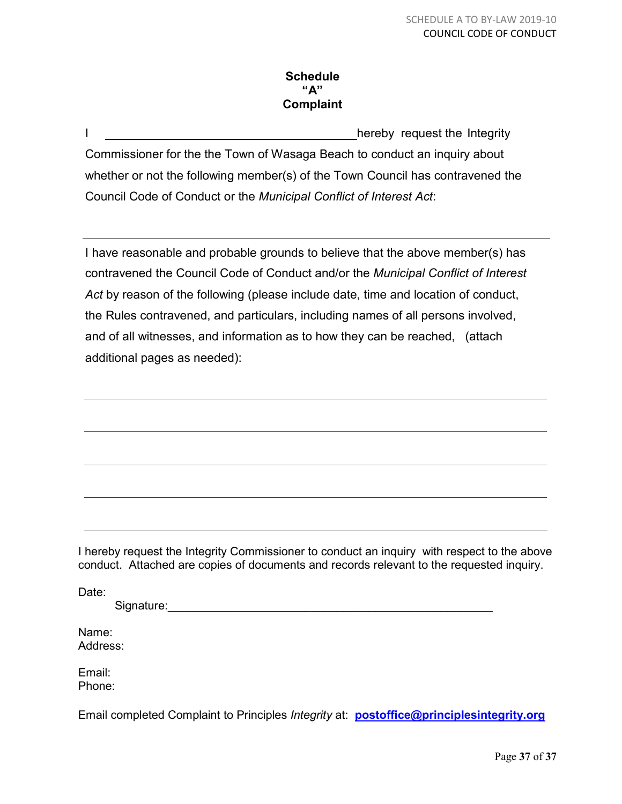# **Schedule "A" Complaint**

I <u>I hereby</u> request the Integrity Commissioner for the the Town of Wasaga Beach to conduct an inquiry about whether or not the following member(s) of the Town Council has contravened the Council Code of Conduct or the *Municipal Conflict of Interest Act*:

I have reasonable and probable grounds to believe that the above member(s) has contravened the Council Code of Conduct and/or the *Municipal Conflict of Interest Act* by reason of the following (please include date, time and location of conduct, the Rules contravened, and particulars, including names of all persons involved, and of all witnesses, and information as to how they can be reached, (attach additional pages as needed):

I hereby request the Integrity Commissioner to conduct an inquiry with respect to the above conduct. Attached are copies of documents and records relevant to the requested inquiry.

Date:

Signature:\_\_\_\_\_\_\_\_\_\_\_\_\_\_\_\_\_\_\_\_\_\_\_\_\_\_\_\_\_\_\_\_\_\_\_\_\_\_\_\_\_\_\_\_\_\_\_\_\_\_

Name: Address:

Email: Phone:

Email completed Complaint to Principles *Integrity* at: **[postoffice@principlesintegrity.org](mailto:robert.swayze@sympatico.ca)**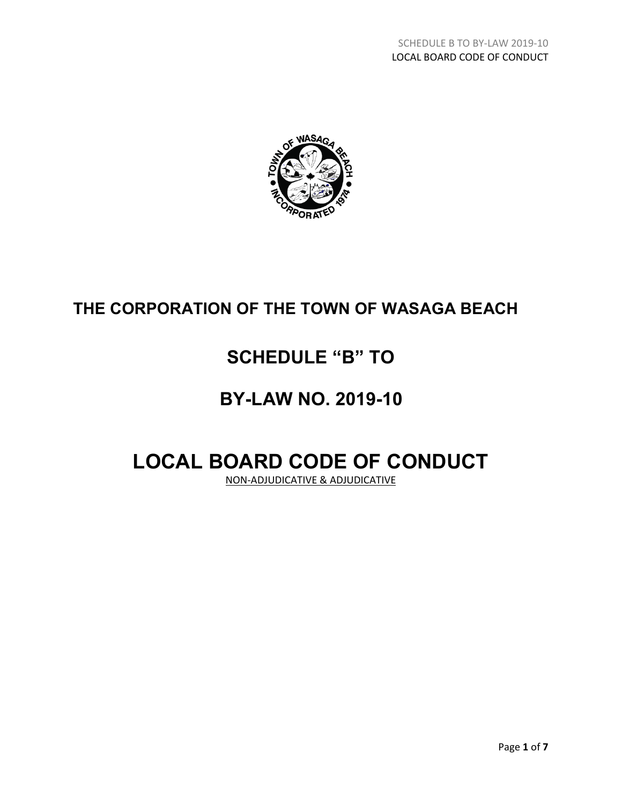

# **THE CORPORATION OF THE TOWN OF WASAGA BEACH**

# **SCHEDULE "B" TO**

# **BY-LAW NO. 2019-10**

# **LOCAL BOARD CODE OF CONDUCT**

NON-ADJUDICATIVE & ADJUDICATIVE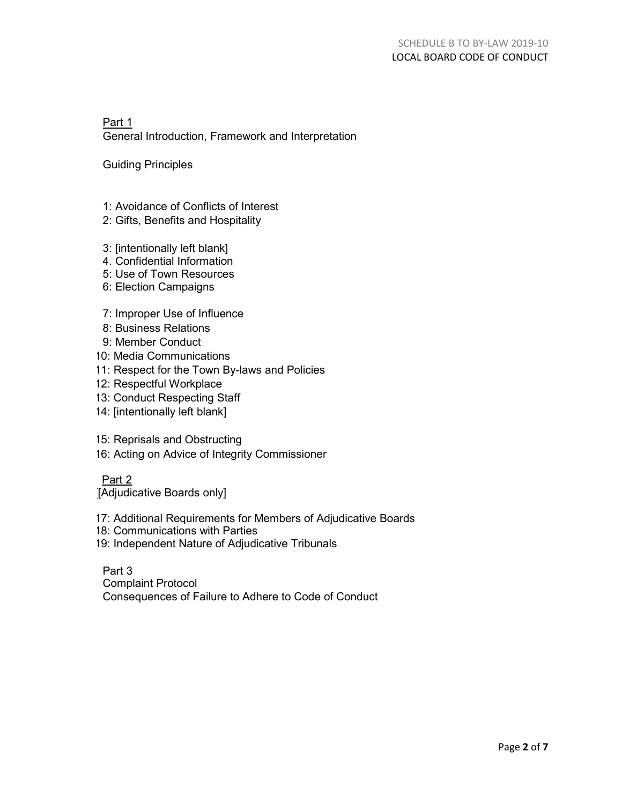Part 1 General Introduction, Framework and Interpretation

Guiding Principles

- 1: Avoidance of Conflicts of Interest
- 2: Gifts, Benefits and Hospitality
- 3: [intentionally left blank]
- 4. Confidential Information
- 5: Use of Town Resources
- 6: Election Campaigns
- 7: Improper Use of Influence
- 8: Business Relations
- 9: Member Conduct
- 10: Media Communications
- 11: Respect for the Town By-laws and Policies
- 12: Respectful Workplace
- 13: Conduct Respecting Staff
- 14: [intentionally left blank]
- 15: Reprisals and Obstructing
- 16: Acting on Advice of Integrity Commissioner

Part 2

[Adjudicative Boards only]

- 17: Additional Requirements for Members of Adjudicative Boards
- 18: Communications with Parties
- 19: Independent Nature of Adjudicative Tribunals

Part 3 Complaint Protocol Consequences of Failure to Adhere to Code of Conduct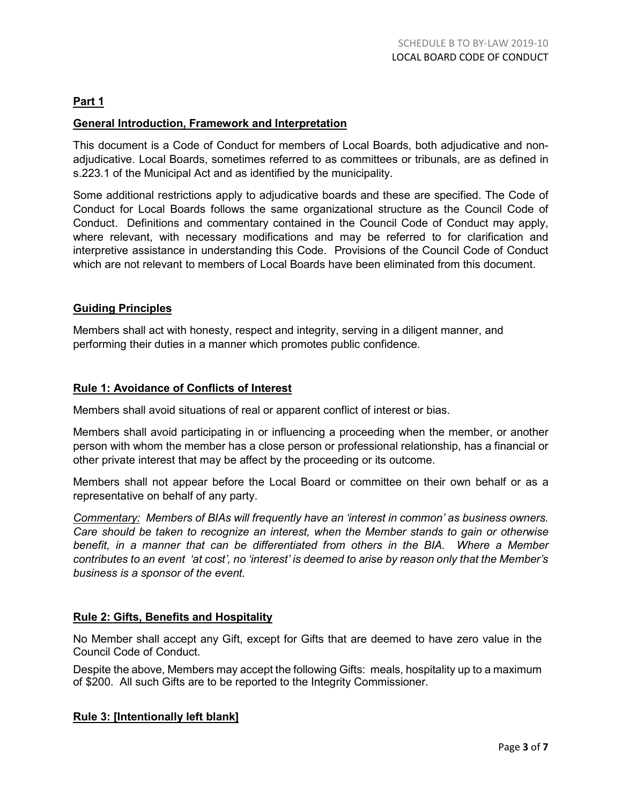## **Part 1**

#### **General Introduction, Framework and Interpretation**

This document is a Code of Conduct for members of Local Boards, both adjudicative and nonadjudicative. Local Boards, sometimes referred to as committees or tribunals, are as defined in s.223.1 of the Municipal Act and as identified by the municipality.

Some additional restrictions apply to adjudicative boards and these are specified. The Code of Conduct for Local Boards follows the same organizational structure as the Council Code of Conduct. Definitions and commentary contained in the Council Code of Conduct may apply, where relevant, with necessary modifications and may be referred to for clarification and interpretive assistance in understanding this Code. Provisions of the Council Code of Conduct which are not relevant to members of Local Boards have been eliminated from this document.

#### **Guiding Principles**

Members shall act with honesty, respect and integrity, serving in a diligent manner, and performing their duties in a manner which promotes public confidence.

#### **Rule 1: Avoidance of Conflicts of Interest**

Members shall avoid situations of real or apparent conflict of interest or bias.

Members shall avoid participating in or influencing a proceeding when the member, or another person with whom the member has a close person or professional relationship, has a financial or other private interest that may be affect by the proceeding or its outcome.

Members shall not appear before the Local Board or committee on their own behalf or as a representative on behalf of any party.

*Commentary: Members of BIAs will frequently have an 'interest in common' as business owners. Care should be taken to recognize an interest, when the Member stands to gain or otherwise benefit, in a manner that can be differentiated from others in the BIA. Where a Member contributes to an event 'at cost', no 'interest' is deemed to arise by reason only that the Member's business is a sponsor of the event.*

#### **Rule 2: Gifts, Benefits and Hospitality**

No Member shall accept any Gift, except for Gifts that are deemed to have zero value in the Council Code of Conduct.

Despite the above, Members may accept the following Gifts: meals, hospitality up to a maximum of \$200. All such Gifts are to be reported to the Integrity Commissioner.

#### **Rule 3: [Intentionally left blank]**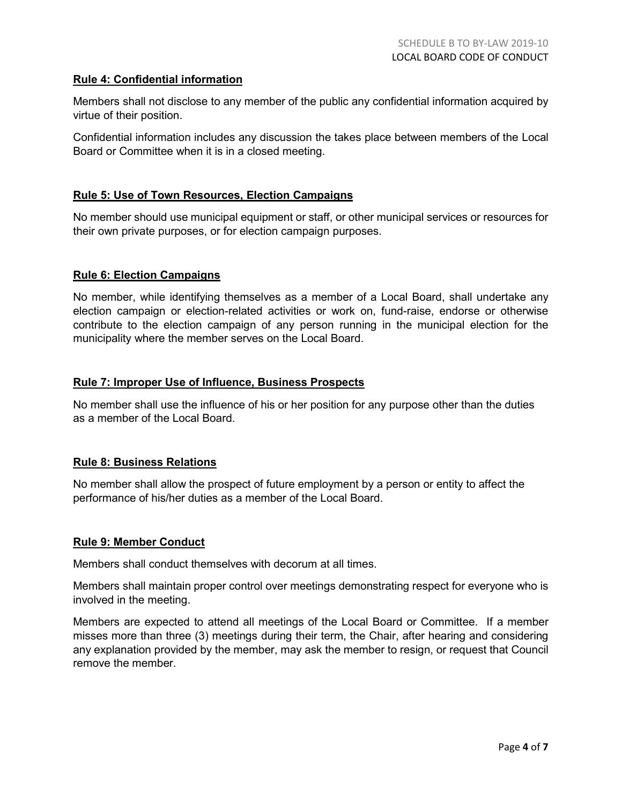#### **Rule 4: Confidential information**

Members shall not disclose to any member of the public any confidential information acquired by virtue of their position.

Confidential information includes any discussion the takes place between members of the Local Board or Committee when it is in a closed meeting.

#### **Rule 5: Use of Town Resources, Election Campaigns**

No member should use municipal equipment or staff, or other municipal services or resources for their own private purposes, or for election campaign purposes.

#### **Rule 6: Election Campaigns**

No member, while identifying themselves as a member of a Local Board, shall undertake any election campaign or election-related activities or work on, fund-raise, endorse or otherwise contribute to the election campaign of any person running in the municipal election for the municipality where the member serves on the Local Board.

#### **Rule 7: Improper Use of Influence, Business Prospects**

No member shall use the influence of his or her position for any purpose other than the duties as a member of the Local Board.

#### **Rule 8: Business Relations**

No member shall allow the prospect of future employment by a person or entity to affect the performance of his/her duties as a member of the Local Board.

#### **Rule 9: Member Conduct**

Members shall conduct themselves with decorum at all times.

Members shall maintain proper control over meetings demonstrating respect for everyone who is involved in the meeting.

Members are expected to attend all meetings of the Local Board or Committee. If a member misses more than three (3) meetings during their term, the Chair, after hearing and considering any explanation provided by the member, may ask the member to resign, or request that Council remove the member.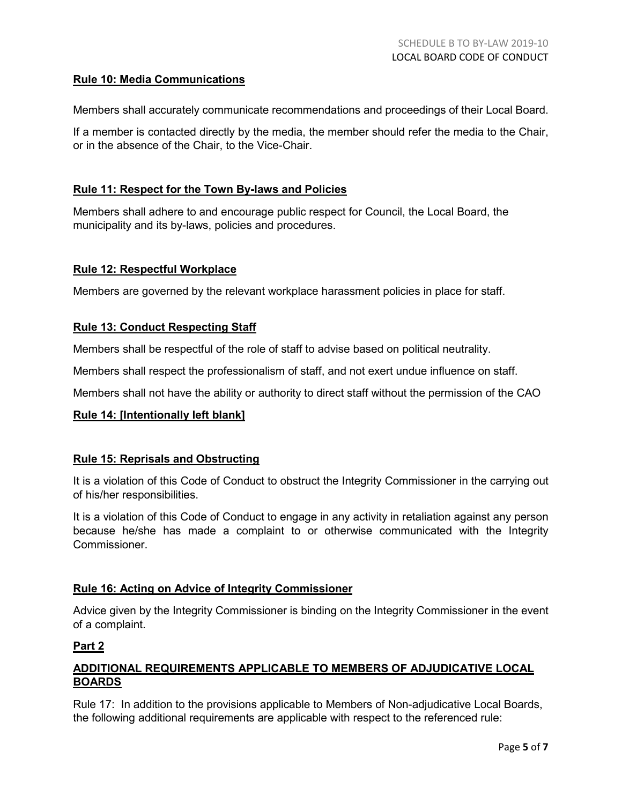#### **Rule 10: Media Communications**

Members shall accurately communicate recommendations and proceedings of their Local Board.

If a member is contacted directly by the media, the member should refer the media to the Chair, or in the absence of the Chair, to the Vice-Chair.

#### **Rule 11: Respect for the Town By-laws and Policies**

Members shall adhere to and encourage public respect for Council, the Local Board, the municipality and its by-laws, policies and procedures.

#### **Rule 12: Respectful Workplace**

Members are governed by the relevant workplace harassment policies in place for staff.

#### **Rule 13: Conduct Respecting Staff**

Members shall be respectful of the role of staff to advise based on political neutrality.

Members shall respect the professionalism of staff, and not exert undue influence on staff.

Members shall not have the ability or authority to direct staff without the permission of the CAO

#### **Rule 14: [Intentionally left blank]**

#### **Rule 15: Reprisals and Obstructing**

It is a violation of this Code of Conduct to obstruct the Integrity Commissioner in the carrying out of his/her responsibilities.

It is a violation of this Code of Conduct to engage in any activity in retaliation against any person because he/she has made a complaint to or otherwise communicated with the Integrity **Commissioner** 

#### **Rule 16: Acting on Advice of Integrity Commissioner**

Advice given by the Integrity Commissioner is binding on the Integrity Commissioner in the event of a complaint.

#### **Part 2**

#### **ADDITIONAL REQUIREMENTS APPLICABLE TO MEMBERS OF ADJUDICATIVE LOCAL BOARDS**

Rule 17: In addition to the provisions applicable to Members of Non-adjudicative Local Boards, the following additional requirements are applicable with respect to the referenced rule: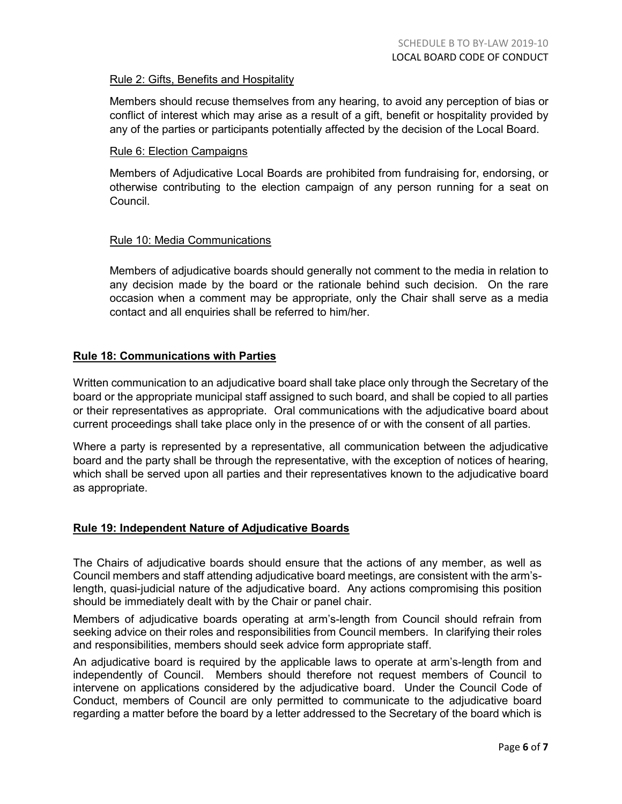#### Rule 2: Gifts, Benefits and Hospitality

Members should recuse themselves from any hearing, to avoid any perception of bias or conflict of interest which may arise as a result of a gift, benefit or hospitality provided by any of the parties or participants potentially affected by the decision of the Local Board.

#### Rule 6: Election Campaigns

Members of Adjudicative Local Boards are prohibited from fundraising for, endorsing, or otherwise contributing to the election campaign of any person running for a seat on Council.

#### Rule 10: Media Communications

Members of adjudicative boards should generally not comment to the media in relation to any decision made by the board or the rationale behind such decision. On the rare occasion when a comment may be appropriate, only the Chair shall serve as a media contact and all enquiries shall be referred to him/her.

#### **Rule 18: Communications with Parties**

Written communication to an adjudicative board shall take place only through the Secretary of the board or the appropriate municipal staff assigned to such board, and shall be copied to all parties or their representatives as appropriate. Oral communications with the adjudicative board about current proceedings shall take place only in the presence of or with the consent of all parties.

Where a party is represented by a representative, all communication between the adjudicative board and the party shall be through the representative, with the exception of notices of hearing, which shall be served upon all parties and their representatives known to the adjudicative board as appropriate.

#### **Rule 19: Independent Nature of Adjudicative Boards**

The Chairs of adjudicative boards should ensure that the actions of any member, as well as Council members and staff attending adjudicative board meetings, are consistent with the arm'slength, quasi-judicial nature of the adjudicative board. Any actions compromising this position should be immediately dealt with by the Chair or panel chair.

Members of adjudicative boards operating at arm's-length from Council should refrain from seeking advice on their roles and responsibilities from Council members. In clarifying their roles and responsibilities, members should seek advice form appropriate staff.

An adjudicative board is required by the applicable laws to operate at arm's-length from and independently of Council. Members should therefore not request members of Council to intervene on applications considered by the adjudicative board. Under the Council Code of Conduct, members of Council are only permitted to communicate to the adjudicative board regarding a matter before the board by a letter addressed to the Secretary of the board which is